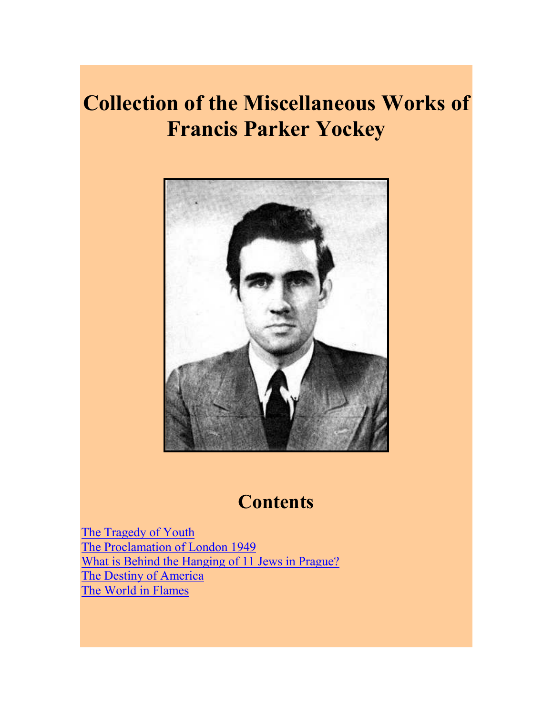# **Collection of the Miscellaneous Works of Francis Parker Yockey**



## **Contents**

[The Tragedy of Youth](#page-1-0) [The Proclamation of London 1949](#page-5-0) [What is Behind the Hanging of 11 Jews in Prague?](#page-31-0) [The Destiny of America](#page-38-0) [The World in Flames](#page-46-0)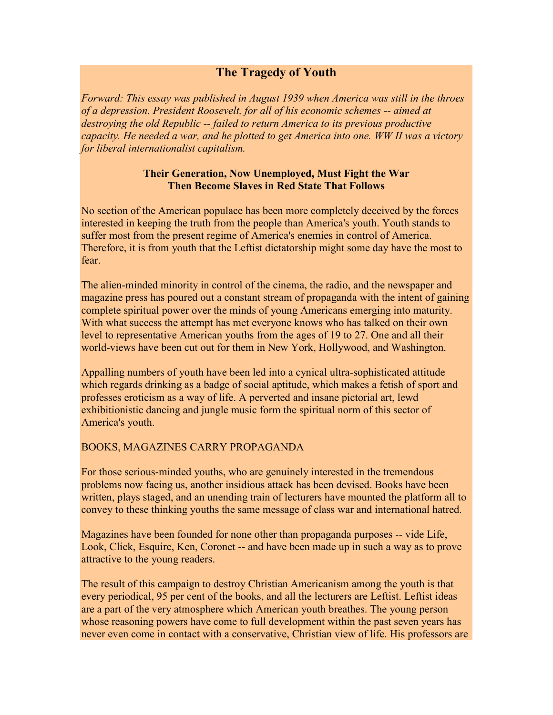## **The Tragedy of Youth**

<span id="page-1-0"></span>*Forward: This essay was published in August 1939 when America was still in the throes of a depression. President Roosevelt, for all of his economic schemes -- aimed at destroying the old Republic -- failed to return America to its previous productive capacity. He needed a war, and he plotted to get America into one. WW II was a victory for liberal internationalist capitalism.*

#### **Their Generation, Now Unemployed, Must Fight the War Then Become Slaves in Red State That Follows**

No section of the American populace has been more completely deceived by the forces interested in keeping the truth from the people than America's youth. Youth stands to suffer most from the present regime of America's enemies in control of America. Therefore, it is from youth that the Leftist dictatorship might some day have the most to fear.

The alien-minded minority in control of the cinema, the radio, and the newspaper and magazine press has poured out a constant stream of propaganda with the intent of gaining complete spiritual power over the minds of young Americans emerging into maturity. With what success the attempt has met everyone knows who has talked on their own level to representative American youths from the ages of 19 to 27. One and all their world-views have been cut out for them in New York, Hollywood, and Washington.

Appalling numbers of youth have been led into a cynical ultra-sophisticated attitude which regards drinking as a badge of social aptitude, which makes a fetish of sport and professes eroticism as a way of life. A perverted and insane pictorial art, lewd exhibitionistic dancing and jungle music form the spiritual norm of this sector of America's youth.

#### BOOKS, MAGAZINES CARRY PROPAGANDA

For those serious-minded youths, who are genuinely interested in the tremendous problems now facing us, another insidious attack has been devised. Books have been written, plays staged, and an unending train of lecturers have mounted the platform all to convey to these thinking youths the same message of class war and international hatred.

Magazines have been founded for none other than propaganda purposes -- vide Life, Look, Click, Esquire, Ken, Coronet -- and have been made up in such a way as to prove attractive to the young readers.

The result of this campaign to destroy Christian Americanism among the youth is that every periodical, 95 per cent of the books, and all the lecturers are Leftist. Leftist ideas are a part of the very atmosphere which American youth breathes. The young person whose reasoning powers have come to full development within the past seven years has never even come in contact with a conservative, Christian view of life. His professors are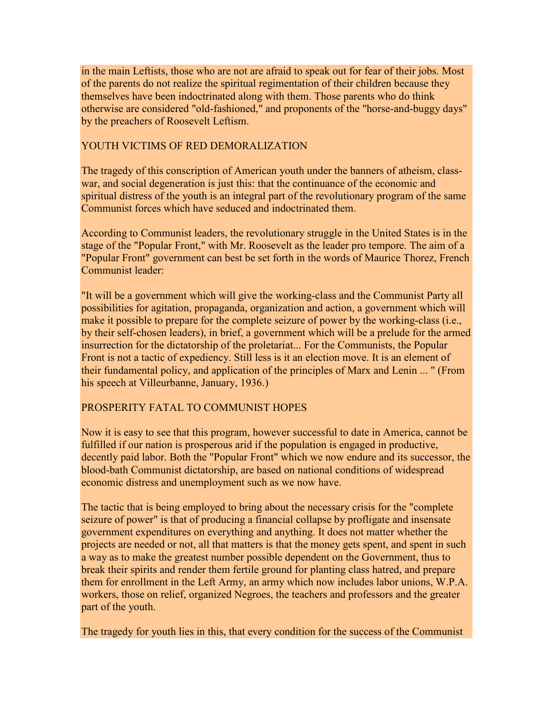in the main Leftists, those who are not are afraid to speak out for fear of their jobs. Most of the parents do not realize the spiritual regimentation of their children because they themselves have been indoctrinated along with them. Those parents who do think otherwise are considered "old-fashioned," and proponents of the "horse-and-buggy days" by the preachers of Roosevelt Leftism.

## YOUTH VICTIMS OF RED DEMORALIZATION

The tragedy of this conscription of American youth under the banners of atheism, classwar, and social degeneration is just this: that the continuance of the economic and spiritual distress of the youth is an integral part of the revolutionary program of the same Communist forces which have seduced and indoctrinated them.

According to Communist leaders, the revolutionary struggle in the United States is in the stage of the "Popular Front," with Mr. Roosevelt as the leader pro tempore. The aim of a "Popular Front" government can best be set forth in the words of Maurice Thorez, French Communist leader:

"It will be a government which will give the working-class and the Communist Party all possibilities for agitation, propaganda, organization and action, a government which will make it possible to prepare for the complete seizure of power by the working-class (i.e., by their self-chosen leaders), in brief, a government which will be a prelude for the armed insurrection for the dictatorship of the proletariat... For the Communists, the Popular Front is not a tactic of expediency. Still less is it an election move. It is an element of their fundamental policy, and application of the principles of Marx and Lenin ... " (From his speech at Villeurbanne, January, 1936.)

## PROSPERITY FATAL TO COMMUNIST HOPES

Now it is easy to see that this program, however successful to date in America, cannot be fulfilled if our nation is prosperous arid if the population is engaged in productive, decently paid labor. Both the "Popular Front" which we now endure and its successor, the blood-bath Communist dictatorship, are based on national conditions of widespread economic distress and unemployment such as we now have.

The tactic that is being employed to bring about the necessary crisis for the "complete seizure of power" is that of producing a financial collapse by profligate and insensate government expenditures on everything and anything. It does not matter whether the projects are needed or not, all that matters is that the money gets spent, and spent in such a way as to make the greatest number possible dependent on the Government, thus to break their spirits and render them fertile ground for planting class hatred, and prepare them for enrollment in the Left Army, an army which now includes labor unions, W.P.A. workers, those on relief, organized Negroes, the teachers and professors and the greater part of the youth.

The tragedy for youth lies in this, that every condition for the success of the Communist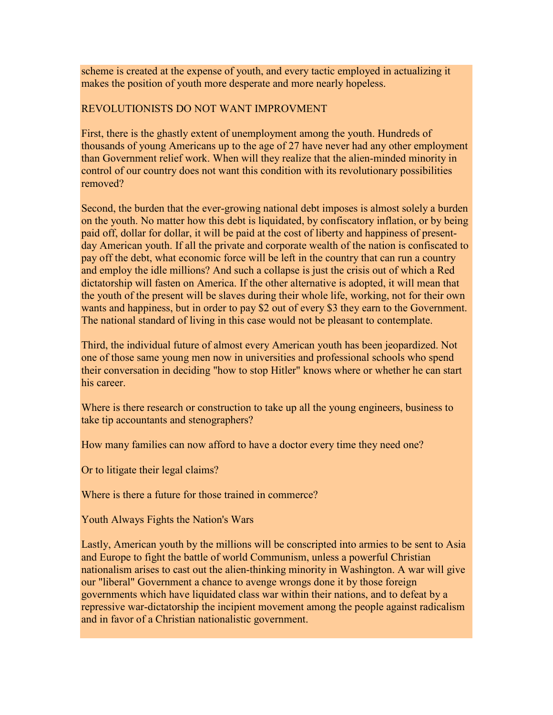scheme is created at the expense of youth, and every tactic employed in actualizing it makes the position of youth more desperate and more nearly hopeless.

#### REVOLUTIONISTS DO NOT WANT IMPROVMENT

First, there is the ghastly extent of unemployment among the youth. Hundreds of thousands of young Americans up to the age of 27 have never had any other employment than Government relief work. When will they realize that the alien-minded minority in control of our country does not want this condition with its revolutionary possibilities removed?

Second, the burden that the ever-growing national debt imposes is almost solely a burden on the youth. No matter how this debt is liquidated, by confiscatory inflation, or by being paid off, dollar for dollar, it will be paid at the cost of liberty and happiness of presentday American youth. If all the private and corporate wealth of the nation is confiscated to pay off the debt, what economic force will be left in the country that can run a country and employ the idle millions? And such a collapse is just the crisis out of which a Red dictatorship will fasten on America. If the other alternative is adopted, it will mean that the youth of the present will be slaves during their whole life, working, not for their own wants and happiness, but in order to pay \$2 out of every \$3 they earn to the Government. The national standard of living in this case would not be pleasant to contemplate.

Third, the individual future of almost every American youth has been jeopardized. Not one of those same young men now in universities and professional schools who spend their conversation in deciding "how to stop Hitler" knows where or whether he can start his career.

Where is there research or construction to take up all the young engineers, business to take tip accountants and stenographers?

How many families can now afford to have a doctor every time they need one?

Or to litigate their legal claims?

Where is there a future for those trained in commerce?

Youth Always Fights the Nation's Wars

Lastly, American youth by the millions will be conscripted into armies to be sent to Asia and Europe to fight the battle of world Communism, unless a powerful Christian nationalism arises to cast out the alien-thinking minority in Washington. A war will give our "liberal" Government a chance to avenge wrongs done it by those foreign governments which have liquidated class war within their nations, and to defeat by a repressive war-dictatorship the incipient movement among the people against radicalism and in favor of a Christian nationalistic government.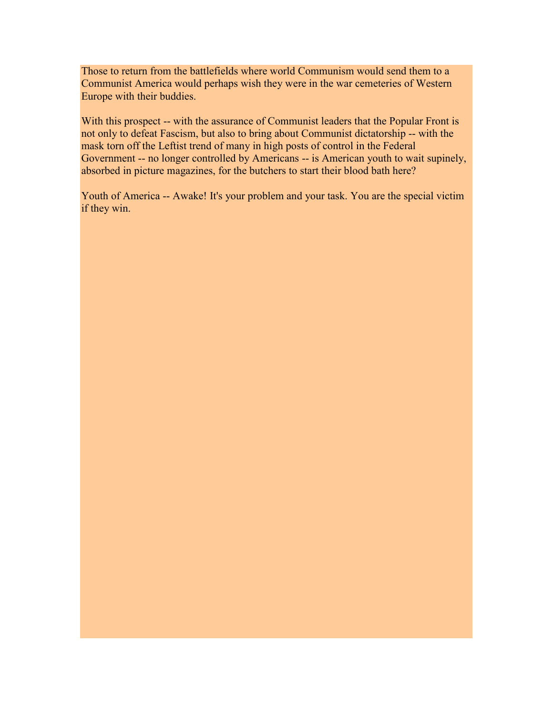Those to return from the battlefields where world Communism would send them to a Communist America would perhaps wish they were in the war cemeteries of Western Europe with their buddies.

With this prospect -- with the assurance of Communist leaders that the Popular Front is not only to defeat Fascism, but also to bring about Communist dictatorship -- with the mask torn off the Leftist trend of many in high posts of control in the Federal Government -- no longer controlled by Americans -- is American youth to wait supinely, absorbed in picture magazines, for the butchers to start their blood bath here?

Youth of America -- Awake! It's your problem and your task. You are the special victim if they win.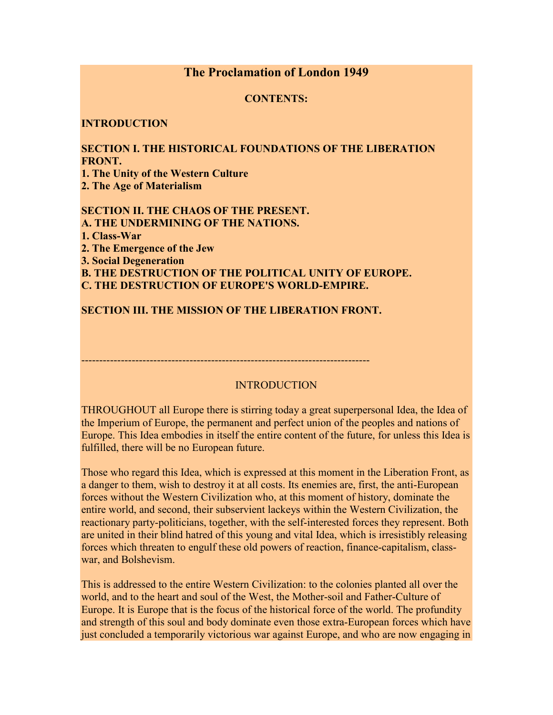## **The Proclamation of London 1949**

#### **CONTENTS:**

#### <span id="page-5-0"></span>**INTRODUCTION**

**SECTION I. THE HISTORICAL FOUNDATIONS OF THE LIBERATION FRONT. 1. The Unity of the Western Culture 2. The Age of Materialism** 

**SECTION II. THE CHAOS OF THE PRESENT. A. THE UNDERMINING OF THE NATIONS. 1. Class-War 2. The Emergence of the Jew 3. Social Degeneration B. THE DESTRUCTION OF THE POLITICAL UNITY OF EUROPE. C. THE DESTRUCTION OF EUROPE'S WORLD-EMPIRE.** 

## **SECTION III. THE MISSION OF THE LIBERATION FRONT.**

--------------------------------------------------------------------------------

#### **INTRODUCTION**

THROUGHOUT all Europe there is stirring today a great superpersonal Idea, the Idea of the Imperium of Europe, the permanent and perfect union of the peoples and nations of Europe. This Idea embodies in itself the entire content of the future, for unless this Idea is fulfilled, there will be no European future.

Those who regard this Idea, which is expressed at this moment in the Liberation Front, as a danger to them, wish to destroy it at all costs. Its enemies are, first, the anti-European forces without the Western Civilization who, at this moment of history, dominate the entire world, and second, their subservient lackeys within the Western Civilization, the reactionary party-politicians, together, with the self-interested forces they represent. Both are united in their blind hatred of this young and vital Idea, which is irresistibly releasing forces which threaten to engulf these old powers of reaction, finance-capitalism, classwar, and Bolshevism.

This is addressed to the entire Western Civilization: to the colonies planted all over the world, and to the heart and soul of the West, the Mother-soil and Father-Culture of Europe. It is Europe that is the focus of the historical force of the world. The profundity and strength of this soul and body dominate even those extra-European forces which have just concluded a temporarily victorious war against Europe, and who are now engaging in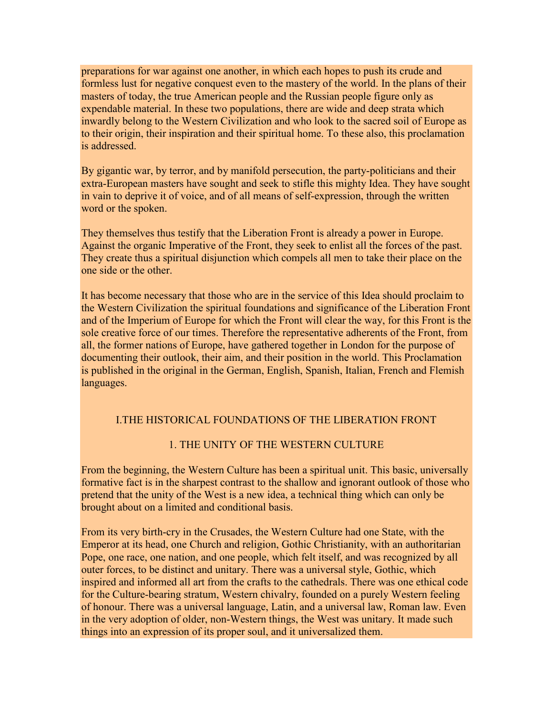preparations for war against one another, in which each hopes to push its crude and formless lust for negative conquest even to the mastery of the world. In the plans of their masters of today, the true American people and the Russian people figure only as expendable material. In these two populations, there are wide and deep strata which inwardly belong to the Western Civilization and who look to the sacred soil of Europe as to their origin, their inspiration and their spiritual home. To these also, this proclamation is addressed.

By gigantic war, by terror, and by manifold persecution, the party-politicians and their extra-European masters have sought and seek to stifle this mighty Idea. They have sought in vain to deprive it of voice, and of all means of self-expression, through the written word or the spoken.

They themselves thus testify that the Liberation Front is already a power in Europe. Against the organic Imperative of the Front, they seek to enlist all the forces of the past. They create thus a spiritual disjunction which compels all men to take their place on the one side or the other.

It has become necessary that those who are in the service of this Idea should proclaim to the Western Civilization the spiritual foundations and significance of the Liberation Front and of the Imperium of Europe for which the Front will clear the way, for this Front is the sole creative force of our times. Therefore the representative adherents of the Front, from all, the former nations of Europe, have gathered together in London for the purpose of documenting their outlook, their aim, and their position in the world. This Proclamation is published in the original in the German, English, Spanish, Italian, French and Flemish languages.

#### I.THE HISTORICAL FOUNDATIONS OF THE LIBERATION FRONT

## 1. THE UNITY OF THE WESTERN CULTURE

From the beginning, the Western Culture has been a spiritual unit. This basic, universally formative fact is in the sharpest contrast to the shallow and ignorant outlook of those who pretend that the unity of the West is a new idea, a technical thing which can only be brought about on a limited and conditional basis.

From its very birth-cry in the Crusades, the Western Culture had one State, with the Emperor at its head, one Church and religion, Gothic Christianity, with an authoritarian Pope, one race, one nation, and one people, which felt itself, and was recognized by all outer forces, to be distinct and unitary. There was a universal style, Gothic, which inspired and informed all art from the crafts to the cathedrals. There was one ethical code for the Culture-bearing stratum, Western chivalry, founded on a purely Western feeling of honour. There was a universal language, Latin, and a universal law, Roman law. Even in the very adoption of older, non-Western things, the West was unitary. It made such things into an expression of its proper soul, and it universalized them.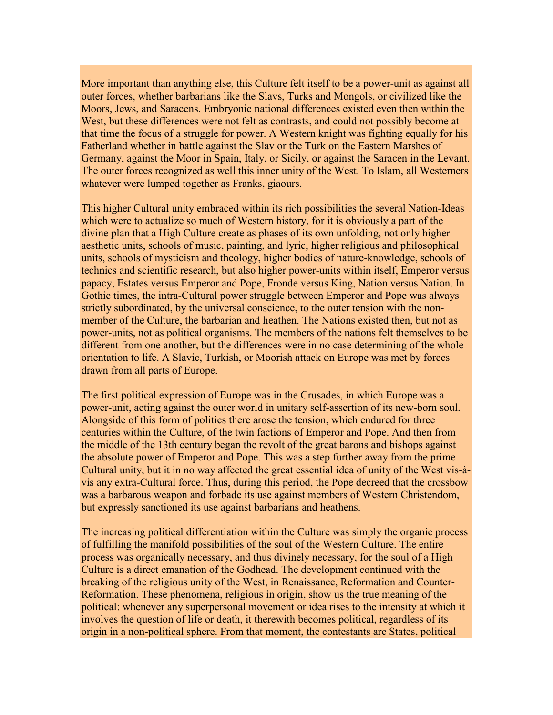More important than anything else, this Culture felt itself to be a power-unit as against all outer forces, whether barbarians like the Slavs, Turks and Mongols, or civilized like the Moors, Jews, and Saracens. Embryonic national differences existed even then within the West, but these differences were not felt as contrasts, and could not possibly become at that time the focus of a struggle for power. A Western knight was fighting equally for his Fatherland whether in battle against the Slav or the Turk on the Eastern Marshes of Germany, against the Moor in Spain, Italy, or Sicily, or against the Saracen in the Levant. The outer forces recognized as well this inner unity of the West. To Islam, all Westerners whatever were lumped together as Franks, giaours.

This higher Cultural unity embraced within its rich possibilities the several Nation-Ideas which were to actualize so much of Western history, for it is obviously a part of the divine plan that a High Culture create as phases of its own unfolding, not only higher aesthetic units, schools of music, painting, and lyric, higher religious and philosophical units, schools of mysticism and theology, higher bodies of nature-knowledge, schools of technics and scientific research, but also higher power-units within itself, Emperor versus papacy, Estates versus Emperor and Pope, Fronde versus King, Nation versus Nation. In Gothic times, the intra-Cultural power struggle between Emperor and Pope was always strictly subordinated, by the universal conscience, to the outer tension with the nonmember of the Culture, the barbarian and heathen. The Nations existed then, but not as power-units, not as political organisms. The members of the nations felt themselves to be different from one another, but the differences were in no case determining of the whole orientation to life. A Slavic, Turkish, or Moorish attack on Europe was met by forces drawn from all parts of Europe.

The first political expression of Europe was in the Crusades, in which Europe was a power-unit, acting against the outer world in unitary self-assertion of its new-born soul. Alongside of this form of politics there arose the tension, which endured for three centuries within the Culture, of the twin factions of Emperor and Pope. And then from the middle of the 13th century began the revolt of the great barons and bishops against the absolute power of Emperor and Pope. This was a step further away from the prime Cultural unity, but it in no way affected the great essential idea of unity of the West vis-àvis any extra-Cultural force. Thus, during this period, the Pope decreed that the crossbow was a barbarous weapon and forbade its use against members of Western Christendom, but expressly sanctioned its use against barbarians and heathens.

The increasing political differentiation within the Culture was simply the organic process of fulfilling the manifold possibilities of the soul of the Western Culture. The entire process was organically necessary, and thus divinely necessary, for the soul of a High Culture is a direct emanation of the Godhead. The development continued with the breaking of the religious unity of the West, in Renaissance, Reformation and Counter-Reformation. These phenomena, religious in origin, show us the true meaning of the political: whenever any superpersonal movement or idea rises to the intensity at which it involves the question of life or death, it therewith becomes political, regardless of its origin in a non-political sphere. From that moment, the contestants are States, political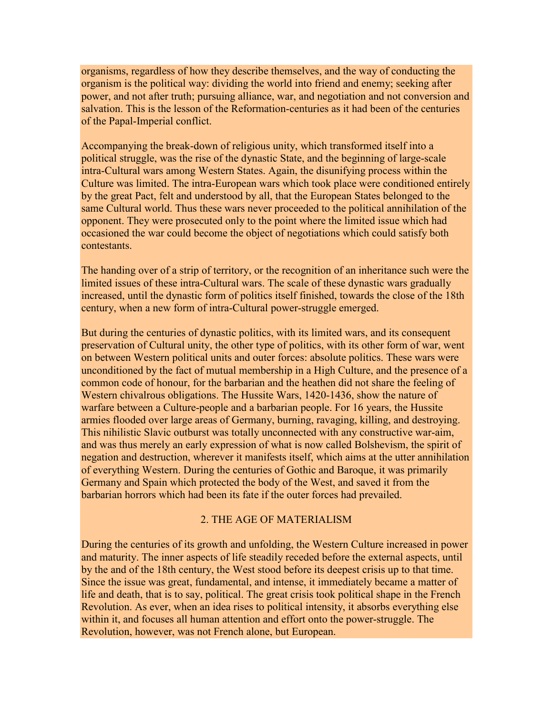organisms, regardless of how they describe themselves, and the way of conducting the organism is the political way: dividing the world into friend and enemy; seeking after power, and not after truth; pursuing alliance, war, and negotiation and not conversion and salvation. This is the lesson of the Reformation-centuries as it had been of the centuries of the Papal-Imperial conflict.

Accompanying the break-down of religious unity, which transformed itself into a political struggle, was the rise of the dynastic State, and the beginning of large-scale intra-Cultural wars among Western States. Again, the disunifying process within the Culture was limited. The intra-European wars which took place were conditioned entirely by the great Pact, felt and understood by all, that the European States belonged to the same Cultural world. Thus these wars never proceeded to the political annihilation of the opponent. They were prosecuted only to the point where the limited issue which had occasioned the war could become the object of negotiations which could satisfy both contestants.

The handing over of a strip of territory, or the recognition of an inheritance such were the limited issues of these intra-Cultural wars. The scale of these dynastic wars gradually increased, until the dynastic form of politics itself finished, towards the close of the 18th century, when a new form of intra-Cultural power-struggle emerged.

But during the centuries of dynastic politics, with its limited wars, and its consequent preservation of Cultural unity, the other type of politics, with its other form of war, went on between Western political units and outer forces: absolute politics. These wars were unconditioned by the fact of mutual membership in a High Culture, and the presence of a common code of honour, for the barbarian and the heathen did not share the feeling of Western chivalrous obligations. The Hussite Wars, 1420-1436, show the nature of warfare between a Culture-people and a barbarian people. For 16 years, the Hussite armies flooded over large areas of Germany, burning, ravaging, killing, and destroying. This nihilistic Slavic outburst was totally unconnected with any constructive war-aim, and was thus merely an early expression of what is now called Bolshevism, the spirit of negation and destruction, wherever it manifests itself, which aims at the utter annihilation of everything Western. During the centuries of Gothic and Baroque, it was primarily Germany and Spain which protected the body of the West, and saved it from the barbarian horrors which had been its fate if the outer forces had prevailed.

#### 2. THE AGE OF MATERIALISM

During the centuries of its growth and unfolding, the Western Culture increased in power and maturity. The inner aspects of life steadily receded before the external aspects, until by the and of the 18th century, the West stood before its deepest crisis up to that time. Since the issue was great, fundamental, and intense, it immediately became a matter of life and death, that is to say, political. The great crisis took political shape in the French Revolution. As ever, when an idea rises to political intensity, it absorbs everything else within it, and focuses all human attention and effort onto the power-struggle. The Revolution, however, was not French alone, but European.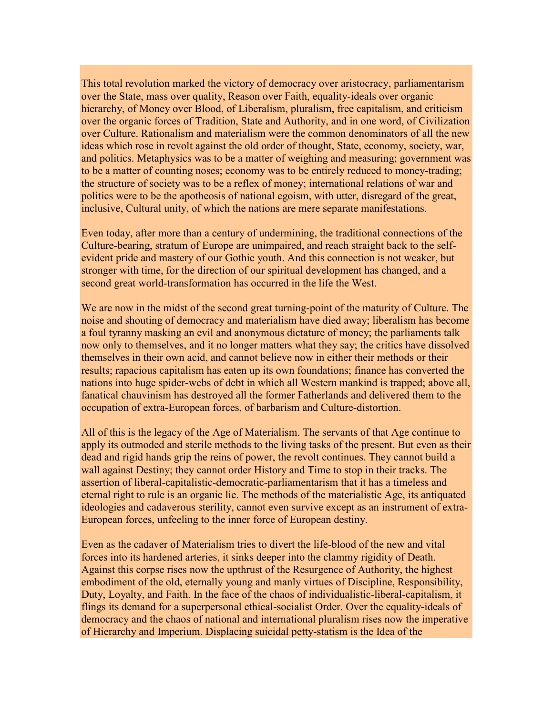This total revolution marked the victory of democracy over aristocracy, parliamentarism over the State, mass over quality, Reason over Faith, equality-ideals over organic hierarchy, of Money over Blood, of Liberalism, pluralism, free capitalism, and criticism over the organic forces of Tradition, State and Authority, and in one word, of Civilization over Culture. Rationalism and materialism were the common denominators of all the new ideas which rose in revolt against the old order of thought, State, economy, society, war, and politics. Metaphysics was to be a matter of weighing and measuring; government was to be a matter of counting noses; economy was to be entirely reduced to money-trading; the structure of society was to be a reflex of money; international relations of war and politics were to be the apotheosis of national egoism, with utter, disregard of the great, inclusive, Cultural unity, of which the nations are mere separate manifestations.

Even today, after more than a century of undermining, the traditional connections of the Culture-bearing, stratum of Europe are unimpaired, and reach straight back to the selfevident pride and mastery of our Gothic youth. And this connection is not weaker, but stronger with time, for the direction of our spiritual development has changed, and a second great world-transformation has occurred in the life the West.

We are now in the midst of the second great turning-point of the maturity of Culture. The noise and shouting of democracy and materialism have died away; liberalism has become a foul tyranny masking an evil and anonymous dictature of money; the parliaments talk now only to themselves, and it no longer matters what they say; the critics have dissolved themselves in their own acid, and cannot believe now in either their methods or their results; rapacious capitalism has eaten up its own foundations; finance has converted the nations into huge spider-webs of debt in which all Western mankind is trapped; above all, fanatical chauvinism has destroyed all the former Fatherlands and delivered them to the occupation of extra-European forces, of barbarism and Culture-distortion.

All of this is the legacy of the Age of Materialism. The servants of that Age continue to apply its outmoded and sterile methods to the living tasks of the present. But even as their dead and rigid hands grip the reins of power, the revolt continues. They cannot build a wall against Destiny; they cannot order History and Time to stop in their tracks. The assertion of liberal-capitalistic-democratic-parliamentarism that it has a timeless and eternal right to rule is an organic lie. The methods of the materialistic Age, its antiquated ideologies and cadaverous sterility, cannot even survive except as an instrument of extra-European forces, unfeeling to the inner force of European destiny.

Even as the cadaver of Materialism tries to divert the life-blood of the new and vital forces into its hardened arteries, it sinks deeper into the clammy rigidity of Death. Against this corpse rises now the upthrust of the Resurgence of Authority, the highest embodiment of the old, eternally young and manly virtues of Discipline, Responsibility, Duty, Loyalty, and Faith. In the face of the chaos of individualistic-liberal-capitalism, it flings its demand for a superpersonal ethical-socialist Order. Over the equality-ideals of democracy and the chaos of national and international pluralism rises now the imperative of Hierarchy and Imperium. Displacing suicidal petty-statism is the Idea of the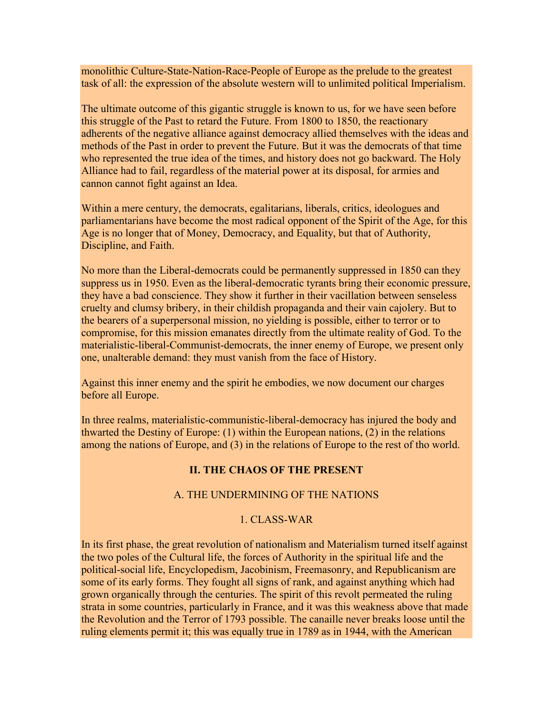monolithic Culture-State-Nation-Race-People of Europe as the prelude to the greatest task of all: the expression of the absolute western will to unlimited political Imperialism.

The ultimate outcome of this gigantic struggle is known to us, for we have seen before this struggle of the Past to retard the Future. From 1800 to 1850, the reactionary adherents of the negative alliance against democracy allied themselves with the ideas and methods of the Past in order to prevent the Future. But it was the democrats of that time who represented the true idea of the times, and history does not go backward. The Holy Alliance had to fail, regardless of the material power at its disposal, for armies and cannon cannot fight against an Idea.

Within a mere century, the democrats, egalitarians, liberals, critics, ideologues and parliamentarians have become the most radical opponent of the Spirit of the Age, for this Age is no longer that of Money, Democracy, and Equality, but that of Authority, Discipline, and Faith.

No more than the Liberal-democrats could be permanently suppressed in 1850 can they suppress us in 1950. Even as the liberal-democratic tyrants bring their economic pressure, they have a bad conscience. They show it further in their vacillation between senseless cruelty and clumsy bribery, in their childish propaganda and their vain cajolery. But to the bearers of a superpersonal mission, no yielding is possible, either to terror or to compromise, for this mission emanates directly from the ultimate reality of God. To the materialistic-liberal-Communist-democrats, the inner enemy of Europe, we present only one, unalterable demand: they must vanish from the face of History.

Against this inner enemy and the spirit he embodies, we now document our charges before all Europe.

In three realms, materialistic-communistic-liberal-democracy has injured the body and thwarted the Destiny of Europe: (1) within the European nations, (2) in the relations among the nations of Europe, and (3) in the relations of Europe to the rest of tho world.

## **II. THE CHAOS OF THE PRESENT**

#### A. THE UNDERMINING OF THE NATIONS

#### 1. CLASS-WAR

In its first phase, the great revolution of nationalism and Materialism turned itself against the two poles of the Cultural life, the forces of Authority in the spiritual life and the political-social life, Encyclopedism, Jacobinism, Freemasonry, and Republicanism are some of its early forms. They fought all signs of rank, and against anything which had grown organically through the centuries. The spirit of this revolt permeated the ruling strata in some countries, particularly in France, and it was this weakness above that made the Revolution and the Terror of 1793 possible. The canaille never breaks loose until the ruling elements permit it; this was equally true in 1789 as in 1944, with the American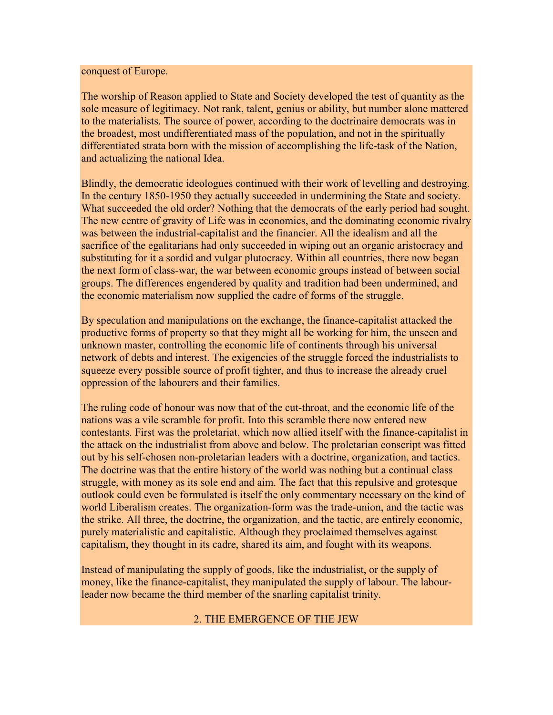#### conquest of Europe.

The worship of Reason applied to State and Society developed the test of quantity as the sole measure of legitimacy. Not rank, talent, genius or ability, but number alone mattered to the materialists. The source of power, according to the doctrinaire democrats was in the broadest, most undifferentiated mass of the population, and not in the spiritually differentiated strata born with the mission of accomplishing the life-task of the Nation, and actualizing the national Idea.

Blindly, the democratic ideologues continued with their work of levelling and destroying. In the century 1850-1950 they actually succeeded in undermining the State and society. What succeeded the old order? Nothing that the democrats of the early period had sought. The new centre of gravity of Life was in economics, and the dominating economic rivalry was between the industrial-capitalist and the financier. All the idealism and all the sacrifice of the egalitarians had only succeeded in wiping out an organic aristocracy and substituting for it a sordid and vulgar plutocracy. Within all countries, there now began the next form of class-war, the war between economic groups instead of between social groups. The differences engendered by quality and tradition had been undermined, and the economic materialism now supplied the cadre of forms of the struggle.

By speculation and manipulations on the exchange, the finance-capitalist attacked the productive forms of property so that they might all be working for him, the unseen and unknown master, controlling the economic life of continents through his universal network of debts and interest. The exigencies of the struggle forced the industrialists to squeeze every possible source of profit tighter, and thus to increase the already cruel oppression of the labourers and their families.

The ruling code of honour was now that of the cut-throat, and the economic life of the nations was a vile scramble for profit. Into this scramble there now entered new contestants. First was the proletariat, which now allied itself with the finance-capitalist in the attack on the industrialist from above and below. The proletarian conscript was fitted out by his self-chosen non-proletarian leaders with a doctrine, organization, and tactics. The doctrine was that the entire history of the world was nothing but a continual class struggle, with money as its sole end and aim. The fact that this repulsive and grotesque outlook could even be formulated is itself the only commentary necessary on the kind of world Liberalism creates. The organization-form was the trade-union, and the tactic was the strike. All three, the doctrine, the organization, and the tactic, are entirely economic, purely materialistic and capitalistic. Although they proclaimed themselves against capitalism, they thought in its cadre, shared its aim, and fought with its weapons.

Instead of manipulating the supply of goods, like the industrialist, or the supply of money, like the finance-capitalist, they manipulated the supply of labour. The labourleader now became the third member of the snarling capitalist trinity.

2. THE EMERGENCE OF THE JEW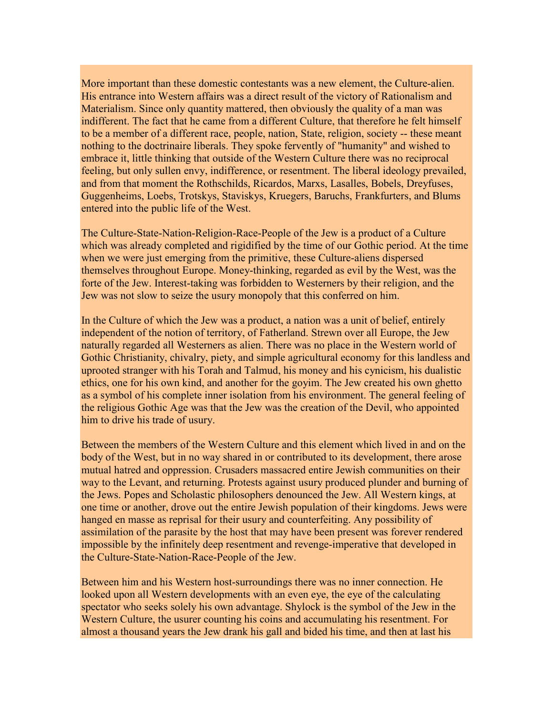More important than these domestic contestants was a new element, the Culture-alien. His entrance into Western affairs was a direct result of the victory of Rationalism and Materialism. Since only quantity mattered, then obviously the quality of a man was indifferent. The fact that he came from a different Culture, that therefore he felt himself to be a member of a different race, people, nation, State, religion, society -- these meant nothing to the doctrinaire liberals. They spoke fervently of "humanity" and wished to embrace it, little thinking that outside of the Western Culture there was no reciprocal feeling, but only sullen envy, indifference, or resentment. The liberal ideology prevailed, and from that moment the Rothschilds, Ricardos, Marxs, Lasalles, Bobels, Dreyfuses, Guggenheims, Loebs, Trotskys, Staviskys, Kruegers, Baruchs, Frankfurters, and Blums entered into the public life of the West.

The Culture-State-Nation-Religion-Race-People of the Jew is a product of a Culture which was already completed and rigidified by the time of our Gothic period. At the time when we were just emerging from the primitive, these Culture-aliens dispersed themselves throughout Europe. Money-thinking, regarded as evil by the West, was the forte of the Jew. Interest-taking was forbidden to Westerners by their religion, and the Jew was not slow to seize the usury monopoly that this conferred on him.

In the Culture of which the Jew was a product, a nation was a unit of belief, entirely independent of the notion of territory, of Fatherland. Strewn over all Europe, the Jew naturally regarded all Westerners as alien. There was no place in the Western world of Gothic Christianity, chivalry, piety, and simple agricultural economy for this landless and uprooted stranger with his Torah and Talmud, his money and his cynicism, his dualistic ethics, one for his own kind, and another for the goyim. The Jew created his own ghetto as a symbol of his complete inner isolation from his environment. The general feeling of the religious Gothic Age was that the Jew was the creation of the Devil, who appointed him to drive his trade of usury.

Between the members of the Western Culture and this element which lived in and on the body of the West, but in no way shared in or contributed to its development, there arose mutual hatred and oppression. Crusaders massacred entire Jewish communities on their way to the Levant, and returning. Protests against usury produced plunder and burning of the Jews. Popes and Scholastic philosophers denounced the Jew. All Western kings, at one time or another, drove out the entire Jewish population of their kingdoms. Jews were hanged en masse as reprisal for their usury and counterfeiting. Any possibility of assimilation of the parasite by the host that may have been present was forever rendered impossible by the infinitely deep resentment and revenge-imperative that developed in the Culture-State-Nation-Race-People of the Jew.

Between him and his Western host-surroundings there was no inner connection. He looked upon all Western developments with an even eye, the eye of the calculating spectator who seeks solely his own advantage. Shylock is the symbol of the Jew in the Western Culture, the usurer counting his coins and accumulating his resentment. For almost a thousand years the Jew drank his gall and bided his time, and then at last his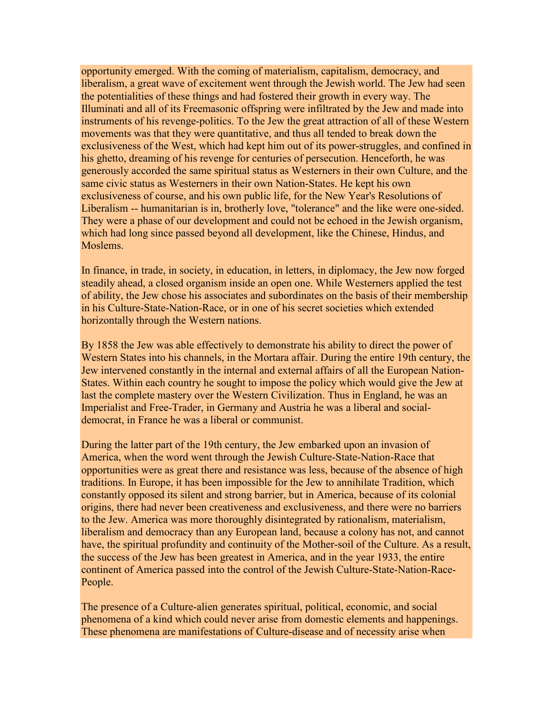opportunity emerged. With the coming of materialism, capitalism, democracy, and liberalism, a great wave of excitement went through the Jewish world. The Jew had seen the potentialities of these things and had fostered their growth in every way. The Illuminati and all of its Freemasonic offspring were infiltrated by the Jew and made into instruments of his revenge-politics. To the Jew the great attraction of all of these Western movements was that they were quantitative, and thus all tended to break down the exclusiveness of the West, which had kept him out of its power-struggles, and confined in his ghetto, dreaming of his revenge for centuries of persecution. Henceforth, he was generously accorded the same spiritual status as Westerners in their own Culture, and the same civic status as Westerners in their own Nation-States. He kept his own exclusiveness of course, and his own public life, for the New Year's Resolutions of Liberalism -- humanitarian is in, brotherly love, "tolerance" and the like were one-sided. They were a phase of our development and could not be echoed in the Jewish organism, which had long since passed beyond all development, like the Chinese, Hindus, and Moslems.

In finance, in trade, in society, in education, in letters, in diplomacy, the Jew now forged steadily ahead, a closed organism inside an open one. While Westerners applied the test of ability, the Jew chose his associates and subordinates on the basis of their membership in his Culture-State-Nation-Race, or in one of his secret societies which extended horizontally through the Western nations.

By 1858 the Jew was able effectively to demonstrate his ability to direct the power of Western States into his channels, in the Mortara affair. During the entire 19th century, the Jew intervened constantly in the internal and external affairs of all the European Nation-States. Within each country he sought to impose the policy which would give the Jew at last the complete mastery over the Western Civilization. Thus in England, he was an Imperialist and Free-Trader, in Germany and Austria he was a liberal and socialdemocrat, in France he was a liberal or communist.

During the latter part of the 19th century, the Jew embarked upon an invasion of America, when the word went through the Jewish Culture-State-Nation-Race that opportunities were as great there and resistance was less, because of the absence of high traditions. In Europe, it has been impossible for the Jew to annihilate Tradition, which constantly opposed its silent and strong barrier, but in America, because of its colonial origins, there had never been creativeness and exclusiveness, and there were no barriers to the Jew. America was more thoroughly disintegrated by rationalism, materialism, liberalism and democracy than any European land, because a colony has not, and cannot have, the spiritual profundity and continuity of the Mother-soil of the Culture. As a result, the success of the Jew has been greatest in America, and in the year 1933, the entire continent of America passed into the control of the Jewish Culture-State-Nation-Race-People.

The presence of a Culture-alien generates spiritual, political, economic, and social phenomena of a kind which could never arise from domestic elements and happenings. These phenomena are manifestations of Culture-disease and of necessity arise when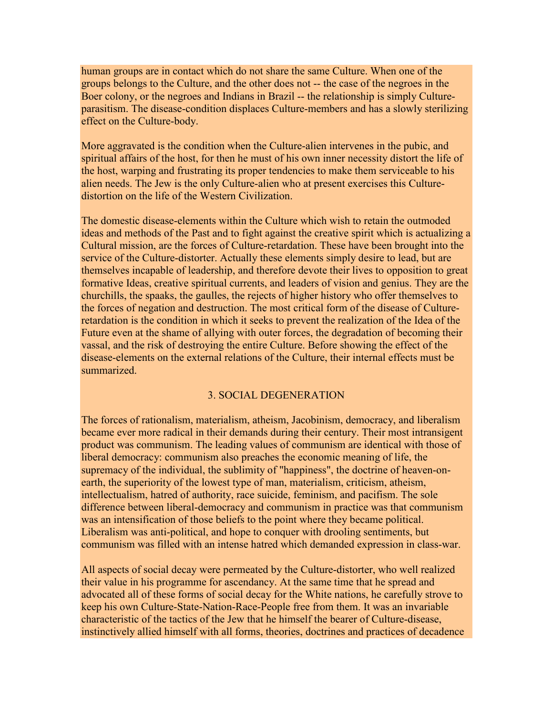human groups are in contact which do not share the same Culture. When one of the groups belongs to the Culture, and the other does not -- the case of the negroes in the Boer colony, or the negroes and Indians in Brazil -- the relationship is simply Cultureparasitism. The disease-condition displaces Culture-members and has a slowly sterilizing effect on the Culture-body.

More aggravated is the condition when the Culture-alien intervenes in the pubic, and spiritual affairs of the host, for then he must of his own inner necessity distort the life of the host, warping and frustrating its proper tendencies to make them serviceable to his alien needs. The Jew is the only Culture-alien who at present exercises this Culturedistortion on the life of the Western Civilization.

The domestic disease-elements within the Culture which wish to retain the outmoded ideas and methods of the Past and to fight against the creative spirit which is actualizing a Cultural mission, are the forces of Culture-retardation. These have been brought into the service of the Culture-distorter. Actually these elements simply desire to lead, but are themselves incapable of leadership, and therefore devote their lives to opposition to great formative Ideas, creative spiritual currents, and leaders of vision and genius. They are the churchills, the spaaks, the gaulles, the rejects of higher history who offer themselves to the forces of negation and destruction. The most critical form of the disease of Cultureretardation is the condition in which it seeks to prevent the realization of the Idea of the Future even at the shame of allying with outer forces, the degradation of becoming their vassal, and the risk of destroying the entire Culture. Before showing the effect of the disease-elements on the external relations of the Culture, their internal effects must be summarized.

#### 3. SOCIAL DEGENERATION

The forces of rationalism, materialism, atheism, Jacobinism, democracy, and liberalism became ever more radical in their demands during their century. Their most intransigent product was communism. The leading values of communism are identical with those of liberal democracy: communism also preaches the economic meaning of life, the supremacy of the individual, the sublimity of "happiness", the doctrine of heaven-onearth, the superiority of the lowest type of man, materialism, criticism, atheism, intellectualism, hatred of authority, race suicide, feminism, and pacifism. The sole difference between liberal-democracy and communism in practice was that communism was an intensification of those beliefs to the point where they became political. Liberalism was anti-political, and hope to conquer with drooling sentiments, but communism was filled with an intense hatred which demanded expression in class-war.

All aspects of social decay were permeated by the Culture-distorter, who well realized their value in his programme for ascendancy. At the same time that he spread and advocated all of these forms of social decay for the White nations, he carefully strove to keep his own Culture-State-Nation-Race-People free from them. It was an invariable characteristic of the tactics of the Jew that he himself the bearer of Culture-disease, instinctively allied himself with all forms, theories, doctrines and practices of decadence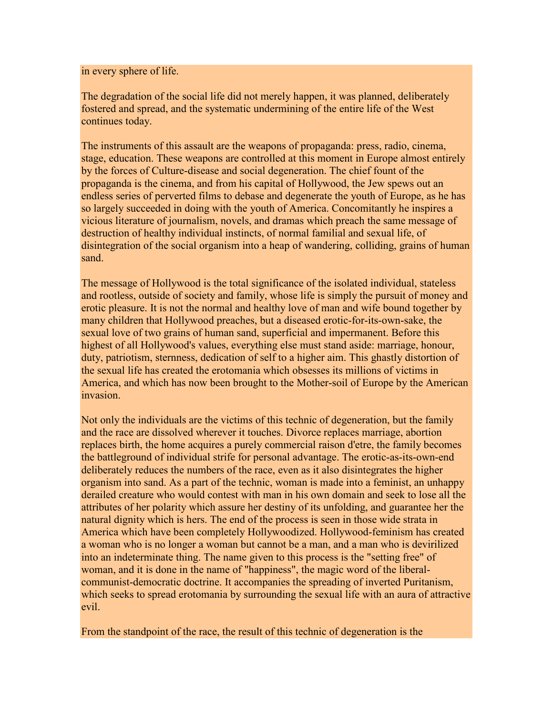in every sphere of life.

The degradation of the social life did not merely happen, it was planned, deliberately fostered and spread, and the systematic undermining of the entire life of the West continues today.

The instruments of this assault are the weapons of propaganda: press, radio, cinema, stage, education. These weapons are controlled at this moment in Europe almost entirely by the forces of Culture-disease and social degeneration. The chief fount of the propaganda is the cinema, and from his capital of Hollywood, the Jew spews out an endless series of perverted films to debase and degenerate the youth of Europe, as he has so largely succeeded in doing with the youth of America. Concomitantly he inspires a vicious literature of journalism, novels, and dramas which preach the same message of destruction of healthy individual instincts, of normal familial and sexual life, of disintegration of the social organism into a heap of wandering, colliding, grains of human sand.

The message of Hollywood is the total significance of the isolated individual, stateless and rootless, outside of society and family, whose life is simply the pursuit of money and erotic pleasure. It is not the normal and healthy love of man and wife bound together by many children that Hollywood preaches, but a diseased erotic-for-its-own-sake, the sexual love of two grains of human sand, superficial and impermanent. Before this highest of all Hollywood's values, everything else must stand aside: marriage, honour, duty, patriotism, sternness, dedication of self to a higher aim. This ghastly distortion of the sexual life has created the erotomania which obsesses its millions of victims in America, and which has now been brought to the Mother-soil of Europe by the American invasion.

Not only the individuals are the victims of this technic of degeneration, but the family and the race are dissolved wherever it touches. Divorce replaces marriage, abortion replaces birth, the home acquires a purely commercial raison d'etre, the family becomes the battleground of individual strife for personal advantage. The erotic-as-its-own-end deliberately reduces the numbers of the race, even as it also disintegrates the higher organism into sand. As a part of the technic, woman is made into a feminist, an unhappy derailed creature who would contest with man in his own domain and seek to lose all the attributes of her polarity which assure her destiny of its unfolding, and guarantee her the natural dignity which is hers. The end of the process is seen in those wide strata in America which have been completely Hollywoodized. Hollywood-feminism has created a woman who is no longer a woman but cannot be a man, and a man who is devirilized into an indeterminate thing. The name given to this process is the "setting free" of woman, and it is done in the name of "happiness", the magic word of the liberalcommunist-democratic doctrine. It accompanies the spreading of inverted Puritanism, which seeks to spread erotomania by surrounding the sexual life with an aura of attractive evil.

From the standpoint of the race, the result of this technic of degeneration is the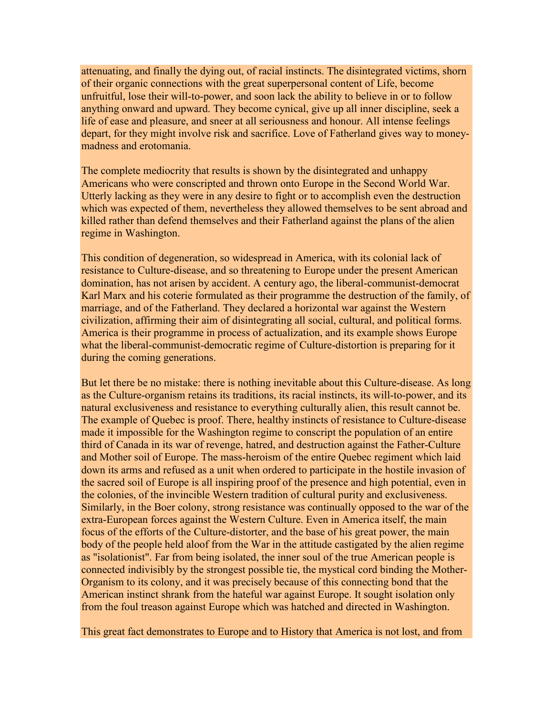attenuating, and finally the dying out, of racial instincts. The disintegrated victims, shorn of their organic connections with the great superpersonal content of Life, become unfruitful, lose their will-to-power, and soon lack the ability to believe in or to follow anything onward and upward. They become cynical, give up all inner discipline, seek a life of ease and pleasure, and sneer at all seriousness and honour. All intense feelings depart, for they might involve risk and sacrifice. Love of Fatherland gives way to moneymadness and erotomania.

The complete mediocrity that results is shown by the disintegrated and unhappy Americans who were conscripted and thrown onto Europe in the Second World War. Utterly lacking as they were in any desire to fight or to accomplish even the destruction which was expected of them, nevertheless they allowed themselves to be sent abroad and killed rather than defend themselves and their Fatherland against the plans of the alien regime in Washington.

This condition of degeneration, so widespread in America, with its colonial lack of resistance to Culture-disease, and so threatening to Europe under the present American domination, has not arisen by accident. A century ago, the liberal-communist-democrat Karl Marx and his coterie formulated as their programme the destruction of the family, of marriage, and of the Fatherland. They declared a horizontal war against the Western civilization, affirming their aim of disintegrating all social, cultural, and political forms. America is their programme in process of actualization, and its example shows Europe what the liberal-communist-democratic regime of Culture-distortion is preparing for it during the coming generations.

But let there be no mistake: there is nothing inevitable about this Culture-disease. As long as the Culture-organism retains its traditions, its racial instincts, its will-to-power, and its natural exclusiveness and resistance to everything culturally alien, this result cannot be. The example of Quebec is proof. There, healthy instincts of resistance to Culture-disease made it impossible for the Washington regime to conscript the population of an entire third of Canada in its war of revenge, hatred, and destruction against the Father-Culture and Mother soil of Europe. The mass-heroism of the entire Quebec regiment which laid down its arms and refused as a unit when ordered to participate in the hostile invasion of the sacred soil of Europe is all inspiring proof of the presence and high potential, even in the colonies, of the invincible Western tradition of cultural purity and exclusiveness. Similarly, in the Boer colony, strong resistance was continually opposed to the war of the extra-European forces against the Western Culture. Even in America itself, the main focus of the efforts of the Culture-distorter, and the base of his great power, the main body of the people held aloof from the War in the attitude castigated by the alien regime as "isolationist". Far from being isolated, the inner soul of the true American people is connected indivisibly by the strongest possible tie, the mystical cord binding the Mother-Organism to its colony, and it was precisely because of this connecting bond that the American instinct shrank from the hateful war against Europe. It sought isolation only from the foul treason against Europe which was hatched and directed in Washington.

This great fact demonstrates to Europe and to History that America is not lost, and from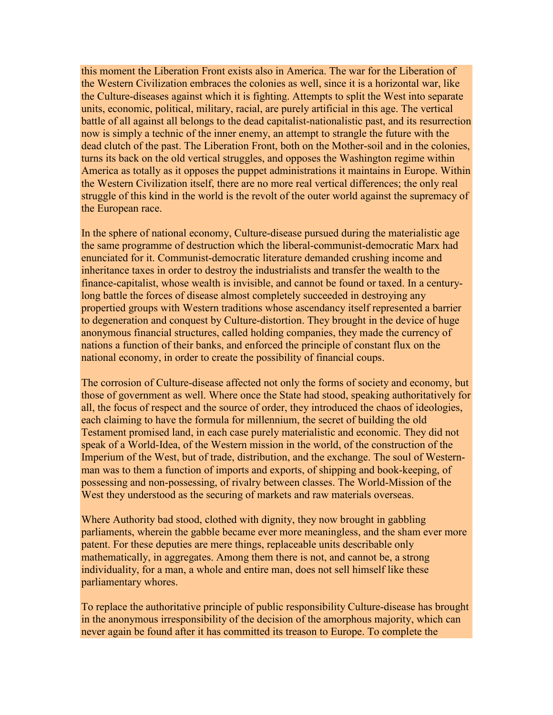this moment the Liberation Front exists also in America. The war for the Liberation of the Western Civilization embraces the colonies as well, since it is a horizontal war, like the Culture-diseases against which it is fighting. Attempts to split the West into separate units, economic, political, military, racial, are purely artificial in this age. The vertical battle of all against all belongs to the dead capitalist-nationalistic past, and its resurrection now is simply a technic of the inner enemy, an attempt to strangle the future with the dead clutch of the past. The Liberation Front, both on the Mother-soil and in the colonies, turns its back on the old vertical struggles, and opposes the Washington regime within America as totally as it opposes the puppet administrations it maintains in Europe. Within the Western Civilization itself, there are no more real vertical differences; the only real struggle of this kind in the world is the revolt of the outer world against the supremacy of the European race.

In the sphere of national economy, Culture-disease pursued during the materialistic age the same programme of destruction which the liberal-communist-democratic Marx had enunciated for it. Communist-democratic literature demanded crushing income and inheritance taxes in order to destroy the industrialists and transfer the wealth to the finance-capitalist, whose wealth is invisible, and cannot be found or taxed. In a centurylong battle the forces of disease almost completely succeeded in destroying any propertied groups with Western traditions whose ascendancy itself represented a barrier to degeneration and conquest by Culture-distortion. They brought in the device of huge anonymous financial structures, called holding companies, they made the currency of nations a function of their banks, and enforced the principle of constant flux on the national economy, in order to create the possibility of financial coups.

The corrosion of Culture-disease affected not only the forms of society and economy, but those of government as well. Where once the State had stood, speaking authoritatively for all, the focus of respect and the source of order, they introduced the chaos of ideologies, each claiming to have the formula for millennium, the secret of building the old Testament promised land, in each case purely materialistic and economic. They did not speak of a World-Idea, of the Western mission in the world, of the construction of the Imperium of the West, but of trade, distribution, and the exchange. The soul of Westernman was to them a function of imports and exports, of shipping and book-keeping, of possessing and non-possessing, of rivalry between classes. The World-Mission of the West they understood as the securing of markets and raw materials overseas.

Where Authority bad stood, clothed with dignity, they now brought in gabbling parliaments, wherein the gabble became ever more meaningless, and the sham ever more patent. For these deputies are mere things, replaceable units describable only mathematically, in aggregates. Among them there is not, and cannot be, a strong individuality, for a man, a whole and entire man, does not sell himself like these parliamentary whores.

To replace the authoritative principle of public responsibility Culture-disease has brought in the anonymous irresponsibility of the decision of the amorphous majority, which can never again be found after it has committed its treason to Europe. To complete the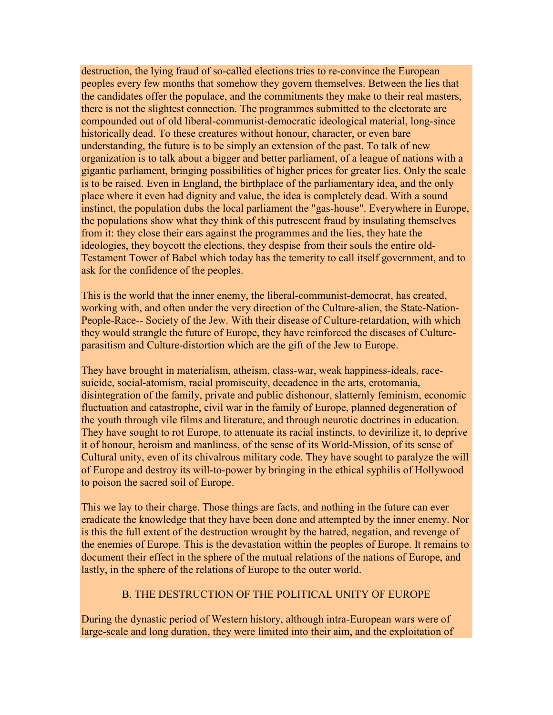destruction, the lying fraud of so-called elections tries to re-convince the European peoples every few months that somehow they govern themselves. Between the lies that the candidates offer the populace, and the commitments they make to their real masters, there is not the slightest connection. The programmes submitted to the electorate are compounded out of old liberal-communist-democratic ideological material, long-since historically dead. To these creatures without honour, character, or even bare understanding, the future is to be simply an extension of the past. To talk of new organization is to talk about a bigger and better parliament, of a league of nations with a gigantic parliament, bringing possibilities of higher prices for greater lies. Only the scale is to be raised. Even in England, the birthplace of the parliamentary idea, and the only place where it even had dignity and value, the idea is completely dead. With a sound instinct, the population dubs the local parliament the "gas-house". Everywhere in Europe, the populations show what they think of this putrescent fraud by insulating themselves from it: they close their ears against the programmes and the lies, they hate the ideologies, they boycott the elections, they despise from their souls the entire old-Testament Tower of Babel which today has the temerity to call itself government, and to ask for the confidence of the peoples.

This is the world that the inner enemy, the liberal-communist-democrat, has created, working with, and often under the very direction of the Culture-alien, the State-Nation-People-Race-- Society of the Jew. With their disease of Culture-retardation, with which they would strangle the future of Europe, they have reinforced the diseases of Cultureparasitism and Culture-distortion which are the gift of the Jew to Europe.

They have brought in materialism, atheism, class-war, weak happiness-ideals, racesuicide, social-atomism, racial promiscuity, decadence in the arts, erotomania, disintegration of the family, private and public dishonour, slatternly feminism, economic fluctuation and catastrophe, civil war in the family of Europe, planned degeneration of the youth through vile films and literature, and through neurotic doctrines in education. They have sought to rot Europe, to attenuate its racial instincts, to devirilize it, to deprive it of honour, heroism and manliness, of the sense of its World-Mission, of its sense of Cultural unity, even of its chivalrous military code. They have sought to paralyze the will of Europe and destroy its will-to-power by bringing in the ethical syphilis of Hollywood to poison the sacred soil of Europe.

This we lay to their charge. Those things are facts, and nothing in the future can ever eradicate the knowledge that they have been done and attempted by the inner enemy. Nor is this the full extent of the destruction wrought by the hatred, negation, and revenge of the enemies of Europe. This is the devastation within the peoples of Europe. It remains to document their effect in the sphere of the mutual relations of the nations of Europe, and lastly, in the sphere of the relations of Europe to the outer world.

#### B. THE DESTRUCTION OF THE POLITICAL UNITY OF EUROPE

During the dynastic period of Western history, although intra-European wars were of large-scale and long duration, they were limited into their aim, and the exploitation of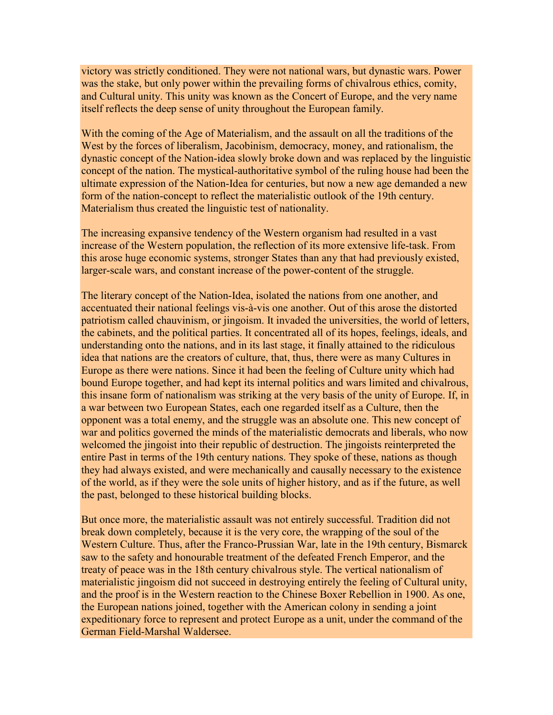victory was strictly conditioned. They were not national wars, but dynastic wars. Power was the stake, but only power within the prevailing forms of chivalrous ethics, comity, and Cultural unity. This unity was known as the Concert of Europe, and the very name itself reflects the deep sense of unity throughout the European family.

With the coming of the Age of Materialism, and the assault on all the traditions of the West by the forces of liberalism, Jacobinism, democracy, money, and rationalism, the dynastic concept of the Nation-idea slowly broke down and was replaced by the linguistic concept of the nation. The mystical-authoritative symbol of the ruling house had been the ultimate expression of the Nation-Idea for centuries, but now a new age demanded a new form of the nation-concept to reflect the materialistic outlook of the 19th century. Materialism thus created the linguistic test of nationality.

The increasing expansive tendency of the Western organism had resulted in a vast increase of the Western population, the reflection of its more extensive life-task. From this arose huge economic systems, stronger States than any that had previously existed, larger-scale wars, and constant increase of the power-content of the struggle.

The literary concept of the Nation-Idea, isolated the nations from one another, and accentuated their national feelings vis-à-vis one another. Out of this arose the distorted patriotism called chauvinism, or jingoism. It invaded the universities, the world of letters, the cabinets, and the political parties. It concentrated all of its hopes, feelings, ideals, and understanding onto the nations, and in its last stage, it finally attained to the ridiculous idea that nations are the creators of culture, that, thus, there were as many Cultures in Europe as there were nations. Since it had been the feeling of Culture unity which had bound Europe together, and had kept its internal politics and wars limited and chivalrous, this insane form of nationalism was striking at the very basis of the unity of Europe. If, in a war between two European States, each one regarded itself as a Culture, then the opponent was a total enemy, and the struggle was an absolute one. This new concept of war and politics governed the minds of the materialistic democrats and liberals, who now welcomed the jingoist into their republic of destruction. The jingoists reinterpreted the entire Past in terms of the 19th century nations. They spoke of these, nations as though they had always existed, and were mechanically and causally necessary to the existence of the world, as if they were the sole units of higher history, and as if the future, as well the past, belonged to these historical building blocks.

But once more, the materialistic assault was not entirely successful. Tradition did not break down completely, because it is the very core, the wrapping of the soul of the Western Culture. Thus, after the Franco-Prussian War, late in the 19th century, Bismarck saw to the safety and honourable treatment of the defeated French Emperor, and the treaty of peace was in the 18th century chivalrous style. The vertical nationalism of materialistic jingoism did not succeed in destroying entirely the feeling of Cultural unity, and the proof is in the Western reaction to the Chinese Boxer Rebellion in 1900. As one, the European nations joined, together with the American colony in sending a joint expeditionary force to represent and protect Europe as a unit, under the command of the German Field-Marshal Waldersee.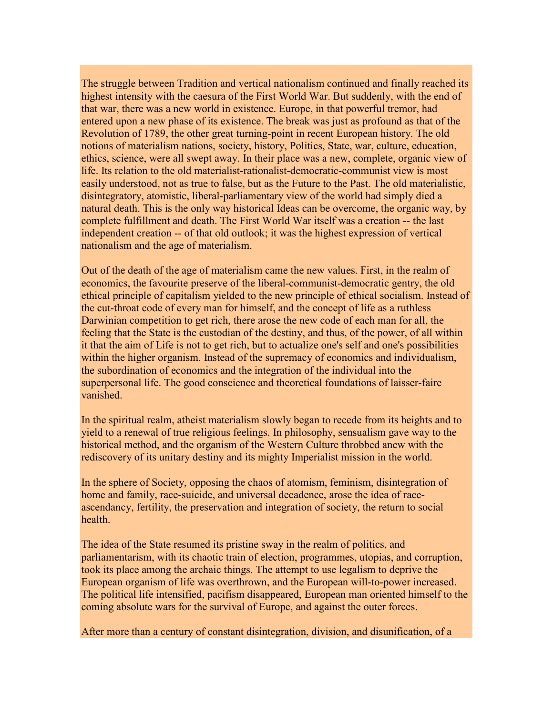The struggle between Tradition and vertical nationalism continued and finally reached its highest intensity with the caesura of the First World War. But suddenly, with the end of that war, there was a new world in existence. Europe, in that powerful tremor, had entered upon a new phase of its existence. The break was just as profound as that of the Revolution of 1789, the other great turning-point in recent European history. The old notions of materialism nations, society, history, Politics, State, war, culture, education, ethics, science, were all swept away. In their place was a new, complete, organic view of life. Its relation to the old materialist-rationalist-democratic-communist view is most easily understood, not as true to false, but as the Future to the Past. The old materialistic, disintegratory, atomistic, liberal-parliamentary view of the world had simply died a natural death. This is the only way historical Ideas can be overcome, the organic way, by complete fulfillment and death. The First World War itself was a creation -- the last independent creation -- of that old outlook; it was the highest expression of vertical nationalism and the age of materialism.

Out of the death of the age of materialism came the new values. First, in the realm of economics, the favourite preserve of the liberal-communist-democratic gentry, the old ethical principle of capitalism yielded to the new principle of ethical socialism. Instead of the cut-throat code of every man for himself, and the concept of life as a ruthless Darwinian competition to get rich, there arose the new code of each man for all, the feeling that the State is the custodian of the destiny, and thus, of the power, of all within it that the aim of Life is not to get rich, but to actualize one's self and one's possibilities within the higher organism. Instead of the supremacy of economics and individualism, the subordination of economics and the integration of the individual into the superpersonal life. The good conscience and theoretical foundations of laisser-faire vanished.

In the spiritual realm, atheist materialism slowly began to recede from its heights and to yield to a renewal of true religious feelings. In philosophy, sensualism gave way to the historical method, and the organism of the Western Culture throbbed anew with the rediscovery of its unitary destiny and its mighty Imperialist mission in the world.

In the sphere of Society, opposing the chaos of atomism, feminism, disintegration of home and family, race-suicide, and universal decadence, arose the idea of raceascendancy, fertility, the preservation and integration of society, the return to social health.

The idea of the State resumed its pristine sway in the realm of politics, and parliamentarism, with its chaotic train of election, programmes, utopias, and corruption, took its place among the archaic things. The attempt to use legalism to deprive the European organism of life was overthrown, and the European will-to-power increased. The political life intensified, pacifism disappeared, European man oriented himself to the coming absolute wars for the survival of Europe, and against the outer forces.

After more than a century of constant disintegration, division, and disunification, of a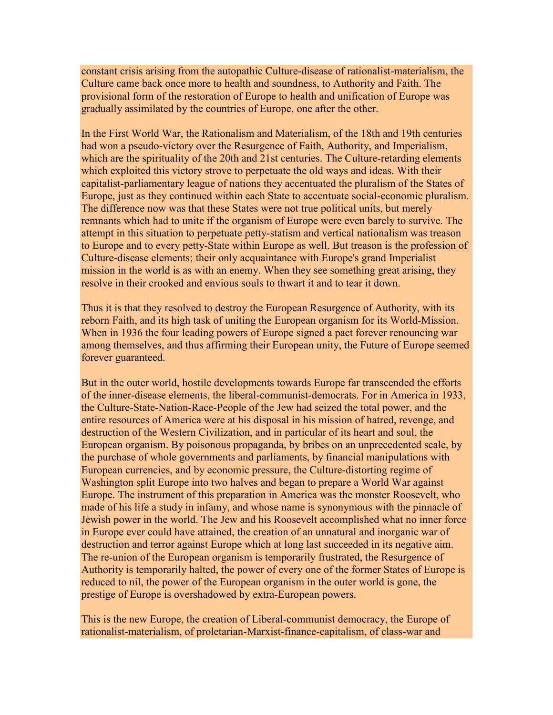constant crisis arising from the autopathic Culture-disease of rationalist-materialism, the Culture came back once more to health and soundness, to Authority and Faith. The provisional form of the restoration of Europe to health and unification of Europe was gradually assimilated by the countries of Europe, one after the other.

In the First World War, the Rationalism and Materialism, of the 18th and 19th centuries had won a pseudo-victory over the Resurgence of Faith, Authority, and Imperialism, which are the spirituality of the 20th and 21st centuries. The Culture-retarding elements which exploited this victory strove to perpetuate the old ways and ideas. With their capitalist-parliamentary league of nations they accentuated the pluralism of the States of Europe, just as they continued within each State to accentuate social-economic pluralism. The difference now was that these States were not true political units, but merely remnants which had to unite if the organism of Europe were even barely to survive. The attempt in this situation to perpetuate petty-statism and vertical nationalism was treason to Europe and to every petty-State within Europe as well. But treason is the profession of Culture-disease elements; their only acquaintance with Europe's grand Imperialist mission in the world is as with an enemy. When they see something great arising, they resolve in their crooked and envious souls to thwart it and to tear it down.

Thus it is that they resolved to destroy the European Resurgence of Authority, with its reborn Faith, and its high task of uniting the European organism for its World-Mission. When in 1936 the four leading powers of Europe signed a pact forever renouncing war among themselves, and thus affirming their European unity, the Future of Europe seemed forever guaranteed.

But in the outer world, hostile developments towards Europe far transcended the efforts of the inner-disease elements, the liberal-communist-democrats. For in America in 1933, the Culture-State-Nation-Race-People of the Jew had seized the total power, and the entire resources of America were at his disposal in his mission of hatred, revenge, and destruction of the Western Civilization, and in particular of its heart and soul, the European organism. By poisonous propaganda, by bribes on an unprecedented scale, by the purchase of whole governments and parliaments, by financial manipulations with European currencies, and by economic pressure, the Culture-distorting regime of Washington split Europe into two halves and began to prepare a World War against Europe. The instrument of this preparation in America was the monster Roosevelt, who made of his life a study in infamy, and whose name is synonymous with the pinnacle of Jewish power in the world. The Jew and his Roosevelt accomplished what no inner force in Europe ever could have attained, the creation of an unnatural and inorganic war of destruction and terror against Europe which at long last succeeded in its negative aim. The re-union of the European organism is temporarily frustrated, the Resurgence of Authority is temporarily halted, the power of every one of the former States of Europe is reduced to nil, the power of the European organism in the outer world is gone, the prestige of Europe is overshadowed by extra-European powers.

This is the new Europe, the creation of Liberal-communist democracy, the Europe of rationalist-materialism, of proletarian-Marxist-finance-capitalism, of class-war and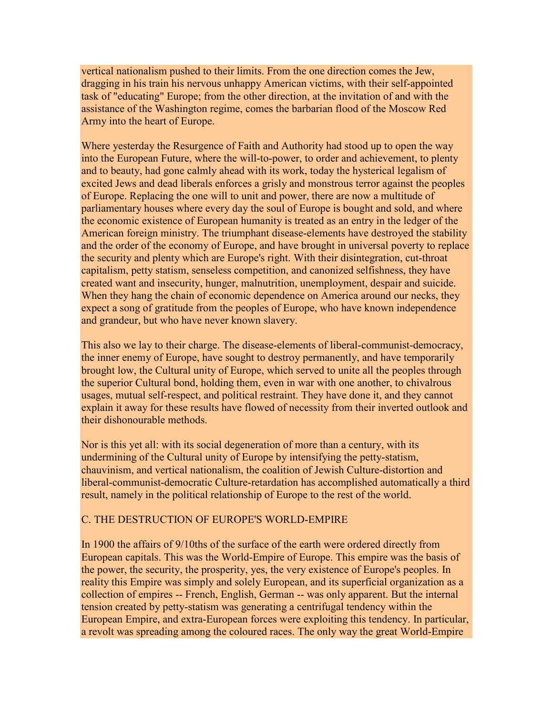vertical nationalism pushed to their limits. From the one direction comes the Jew, dragging in his train his nervous unhappy American victims, with their self-appointed task of "educating" Europe; from the other direction, at the invitation of and with the assistance of the Washington regime, comes the barbarian flood of the Moscow Red Army into the heart of Europe.

Where yesterday the Resurgence of Faith and Authority had stood up to open the way into the European Future, where the will-to-power, to order and achievement, to plenty and to beauty, had gone calmly ahead with its work, today the hysterical legalism of excited Jews and dead liberals enforces a grisly and monstrous terror against the peoples of Europe. Replacing the one will to unit and power, there are now a multitude of parliamentary houses where every day the soul of Europe is bought and sold, and where the economic existence of European humanity is treated as an entry in the ledger of the American foreign ministry. The triumphant disease-elements have destroyed the stability and the order of the economy of Europe, and have brought in universal poverty to replace the security and plenty which are Europe's right. With their disintegration, cut-throat capitalism, petty statism, senseless competition, and canonized selfishness, they have created want and insecurity, hunger, malnutrition, unemployment, despair and suicide. When they hang the chain of economic dependence on America around our necks, they expect a song of gratitude from the peoples of Europe, who have known independence and grandeur, but who have never known slavery.

This also we lay to their charge. The disease-elements of liberal-communist-democracy, the inner enemy of Europe, have sought to destroy permanently, and have temporarily brought low, the Cultural unity of Europe, which served to unite all the peoples through the superior Cultural bond, holding them, even in war with one another, to chivalrous usages, mutual self-respect, and political restraint. They have done it, and they cannot explain it away for these results have flowed of necessity from their inverted outlook and their dishonourable methods.

Nor is this yet all: with its social degeneration of more than a century, with its undermining of the Cultural unity of Europe by intensifying the petty-statism, chauvinism, and vertical nationalism, the coalition of Jewish Culture-distortion and liberal-communist-democratic Culture-retardation has accomplished automatically a third result, namely in the political relationship of Europe to the rest of the world.

#### C. THE DESTRUCTION OF EUROPE'S WORLD-EMPIRE

In 1900 the affairs of 9/10ths of the surface of the earth were ordered directly from European capitals. This was the World-Empire of Europe. This empire was the basis of the power, the security, the prosperity, yes, the very existence of Europe's peoples. In reality this Empire was simply and solely European, and its superficial organization as a collection of empires -- French, English, German -- was only apparent. But the internal tension created by petty-statism was generating a centrifugal tendency within the European Empire, and extra-European forces were exploiting this tendency. In particular, a revolt was spreading among the coloured races. The only way the great World-Empire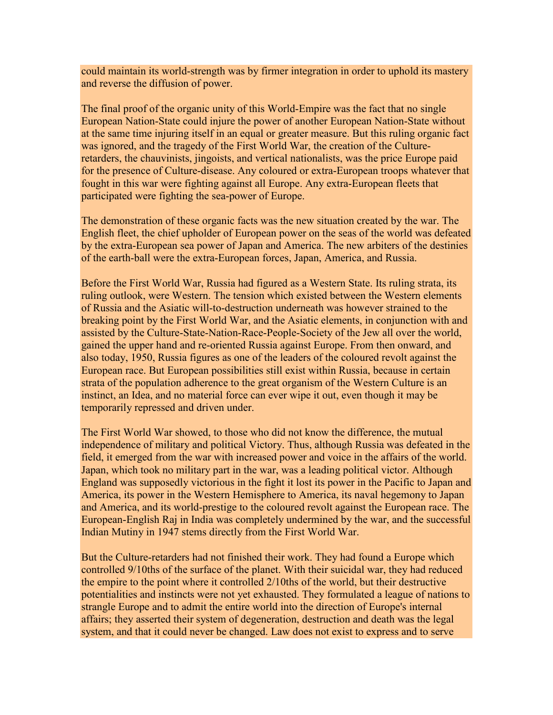could maintain its world-strength was by firmer integration in order to uphold its mastery and reverse the diffusion of power.

The final proof of the organic unity of this World-Empire was the fact that no single European Nation-State could injure the power of another European Nation-State without at the same time injuring itself in an equal or greater measure. But this ruling organic fact was ignored, and the tragedy of the First World War, the creation of the Cultureretarders, the chauvinists, jingoists, and vertical nationalists, was the price Europe paid for the presence of Culture-disease. Any coloured or extra-European troops whatever that fought in this war were fighting against all Europe. Any extra-European fleets that participated were fighting the sea-power of Europe.

The demonstration of these organic facts was the new situation created by the war. The English fleet, the chief upholder of European power on the seas of the world was defeated by the extra-European sea power of Japan and America. The new arbiters of the destinies of the earth-ball were the extra-European forces, Japan, America, and Russia.

Before the First World War, Russia had figured as a Western State. Its ruling strata, its ruling outlook, were Western. The tension which existed between the Western elements of Russia and the Asiatic will-to-destruction underneath was however strained to the breaking point by the First World War, and the Asiatic elements, in conjunction with and assisted by the Culture-State-Nation-Race-People-Society of the Jew all over the world, gained the upper hand and re-oriented Russia against Europe. From then onward, and also today, 1950, Russia figures as one of the leaders of the coloured revolt against the European race. But European possibilities still exist within Russia, because in certain strata of the population adherence to the great organism of the Western Culture is an instinct, an Idea, and no material force can ever wipe it out, even though it may be temporarily repressed and driven under.

The First World War showed, to those who did not know the difference, the mutual independence of military and political Victory. Thus, although Russia was defeated in the field, it emerged from the war with increased power and voice in the affairs of the world. Japan, which took no military part in the war, was a leading political victor. Although England was supposedly victorious in the fight it lost its power in the Pacific to Japan and America, its power in the Western Hemisphere to America, its naval hegemony to Japan and America, and its world-prestige to the coloured revolt against the European race. The European-English Raj in India was completely undermined by the war, and the successful Indian Mutiny in 1947 stems directly from the First World War.

But the Culture-retarders had not finished their work. They had found a Europe which controlled 9/10ths of the surface of the planet. With their suicidal war, they had reduced the empire to the point where it controlled 2/10ths of the world, but their destructive potentialities and instincts were not yet exhausted. They formulated a league of nations to strangle Europe and to admit the entire world into the direction of Europe's internal affairs; they asserted their system of degeneration, destruction and death was the legal system, and that it could never be changed. Law does not exist to express and to serve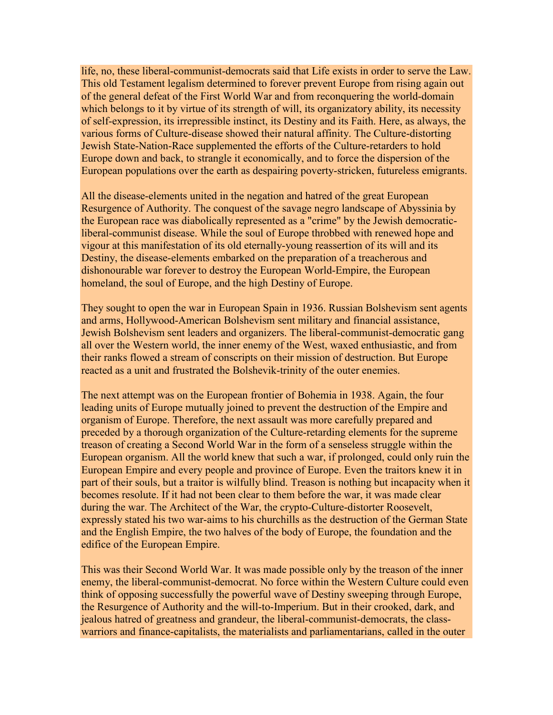life, no, these liberal-communist-democrats said that Life exists in order to serve the Law. This old Testament legalism determined to forever prevent Europe from rising again out of the general defeat of the First World War and from reconquering the world-domain which belongs to it by virtue of its strength of will, its organizatory ability, its necessity of self-expression, its irrepressible instinct, its Destiny and its Faith. Here, as always, the various forms of Culture-disease showed their natural affinity. The Culture-distorting Jewish State-Nation-Race supplemented the efforts of the Culture-retarders to hold Europe down and back, to strangle it economically, and to force the dispersion of the European populations over the earth as despairing poverty-stricken, futureless emigrants.

All the disease-elements united in the negation and hatred of the great European Resurgence of Authority. The conquest of the savage negro landscape of Abyssinia by the European race was diabolically represented as a "crime" by the Jewish democraticliberal-communist disease. While the soul of Europe throbbed with renewed hope and vigour at this manifestation of its old eternally-young reassertion of its will and its Destiny, the disease-elements embarked on the preparation of a treacherous and dishonourable war forever to destroy the European World-Empire, the European homeland, the soul of Europe, and the high Destiny of Europe.

They sought to open the war in European Spain in 1936. Russian Bolshevism sent agents and arms, Hollywood-American Bolshevism sent military and financial assistance, Jewish Bolshevism sent leaders and organizers. The liberal-communist-democratic gang all over the Western world, the inner enemy of the West, waxed enthusiastic, and from their ranks flowed a stream of conscripts on their mission of destruction. But Europe reacted as a unit and frustrated the Bolshevik-trinity of the outer enemies.

The next attempt was on the European frontier of Bohemia in 1938. Again, the four leading units of Europe mutually joined to prevent the destruction of the Empire and organism of Europe. Therefore, the next assault was more carefully prepared and preceded by a thorough organization of the Culture-retarding elements for the supreme treason of creating a Second World War in the form of a senseless struggle within the European organism. All the world knew that such a war, if prolonged, could only ruin the European Empire and every people and province of Europe. Even the traitors knew it in part of their souls, but a traitor is wilfully blind. Treason is nothing but incapacity when it becomes resolute. If it had not been clear to them before the war, it was made clear during the war. The Architect of the War, the crypto-Culture-distorter Roosevelt, expressly stated his two war-aims to his churchills as the destruction of the German State and the English Empire, the two halves of the body of Europe, the foundation and the edifice of the European Empire.

This was their Second World War. It was made possible only by the treason of the inner enemy, the liberal-communist-democrat. No force within the Western Culture could even think of opposing successfully the powerful wave of Destiny sweeping through Europe, the Resurgence of Authority and the will-to-Imperium. But in their crooked, dark, and jealous hatred of greatness and grandeur, the liberal-communist-democrats, the classwarriors and finance-capitalists, the materialists and parliamentarians, called in the outer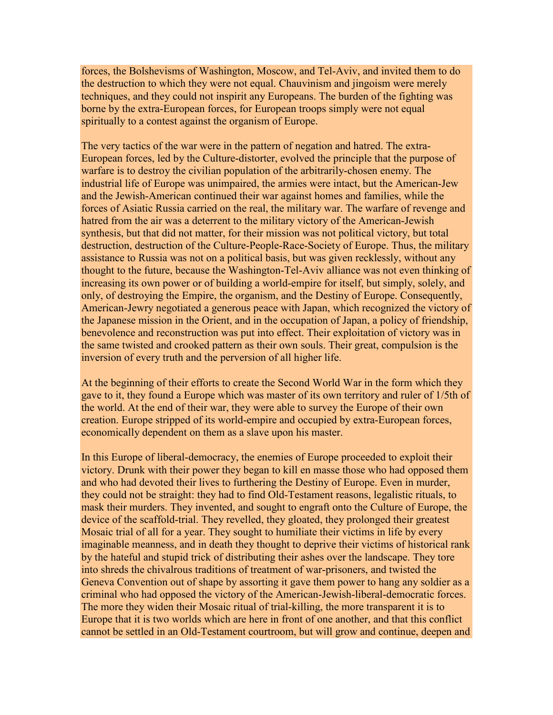forces, the Bolshevisms of Washington, Moscow, and Tel-Aviv, and invited them to do the destruction to which they were not equal. Chauvinism and jingoism were merely techniques, and they could not inspirit any Europeans. The burden of the fighting was borne by the extra-European forces, for European troops simply were not equal spiritually to a contest against the organism of Europe.

The very tactics of the war were in the pattern of negation and hatred. The extra-European forces, led by the Culture-distorter, evolved the principle that the purpose of warfare is to destroy the civilian population of the arbitrarily-chosen enemy. The industrial life of Europe was unimpaired, the armies were intact, but the American-Jew and the Jewish-American continued their war against homes and families, while the forces of Asiatic Russia carried on the real, the military war. The warfare of revenge and hatred from the air was a deterrent to the military victory of the American-Jewish synthesis, but that did not matter, for their mission was not political victory, but total destruction, destruction of the Culture-People-Race-Society of Europe. Thus, the military assistance to Russia was not on a political basis, but was given recklessly, without any thought to the future, because the Washington-Tel-Aviv alliance was not even thinking of increasing its own power or of building a world-empire for itself, but simply, solely, and only, of destroying the Empire, the organism, and the Destiny of Europe. Consequently, American-Jewry negotiated a generous peace with Japan, which recognized the victory of the Japanese mission in the Orient, and in the occupation of Japan, a policy of friendship, benevolence and reconstruction was put into effect. Their exploitation of victory was in the same twisted and crooked pattern as their own souls. Their great, compulsion is the inversion of every truth and the perversion of all higher life.

At the beginning of their efforts to create the Second World War in the form which they gave to it, they found a Europe which was master of its own territory and ruler of 1/5th of the world. At the end of their war, they were able to survey the Europe of their own creation. Europe stripped of its world-empire and occupied by extra-European forces, economically dependent on them as a slave upon his master.

In this Europe of liberal-democracy, the enemies of Europe proceeded to exploit their victory. Drunk with their power they began to kill en masse those who had opposed them and who had devoted their lives to furthering the Destiny of Europe. Even in murder, they could not be straight: they had to find Old-Testament reasons, legalistic rituals, to mask their murders. They invented, and sought to engraft onto the Culture of Europe, the device of the scaffold-trial. They revelled, they gloated, they prolonged their greatest Mosaic trial of all for a year. They sought to humiliate their victims in life by every imaginable meanness, and in death they thought to deprive their victims of historical rank by the hateful and stupid trick of distributing their ashes over the landscape. They tore into shreds the chivalrous traditions of treatment of war-prisoners, and twisted the Geneva Convention out of shape by assorting it gave them power to hang any soldier as a criminal who had opposed the victory of the American-Jewish-liberal-democratic forces. The more they widen their Mosaic ritual of trial-killing, the more transparent it is to Europe that it is two worlds which are here in front of one another, and that this conflict cannot be settled in an Old-Testament courtroom, but will grow and continue, deepen and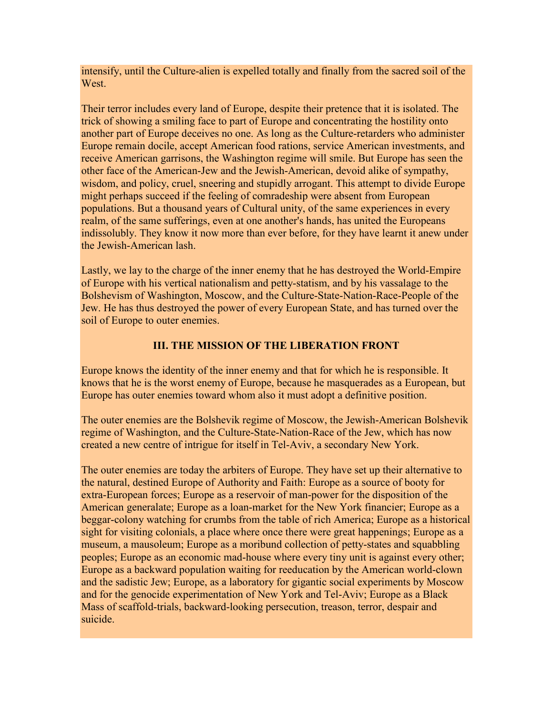intensify, until the Culture-alien is expelled totally and finally from the sacred soil of the West.

Their terror includes every land of Europe, despite their pretence that it is isolated. The trick of showing a smiling face to part of Europe and concentrating the hostility onto another part of Europe deceives no one. As long as the Culture-retarders who administer Europe remain docile, accept American food rations, service American investments, and receive American garrisons, the Washington regime will smile. But Europe has seen the other face of the American-Jew and the Jewish-American, devoid alike of sympathy, wisdom, and policy, cruel, sneering and stupidly arrogant. This attempt to divide Europe might perhaps succeed if the feeling of comradeship were absent from European populations. But a thousand years of Cultural unity, of the same experiences in every realm, of the same sufferings, even at one another's hands, has united the Europeans indissolubly. They know it now more than ever before, for they have learnt it anew under the Jewish-American lash.

Lastly, we lay to the charge of the inner enemy that he has destroyed the World-Empire of Europe with his vertical nationalism and petty-statism, and by his vassalage to the Bolshevism of Washington, Moscow, and the Culture-State-Nation-Race-People of the Jew. He has thus destroyed the power of every European State, and has turned over the soil of Europe to outer enemies.

## **III. THE MISSION OF THE LIBERATION FRONT**

Europe knows the identity of the inner enemy and that for which he is responsible. It knows that he is the worst enemy of Europe, because he masquerades as a European, but Europe has outer enemies toward whom also it must adopt a definitive position.

The outer enemies are the Bolshevik regime of Moscow, the Jewish-American Bolshevik regime of Washington, and the Culture-State-Nation-Race of the Jew, which has now created a new centre of intrigue for itself in Tel-Aviv, a secondary New York.

The outer enemies are today the arbiters of Europe. They have set up their alternative to the natural, destined Europe of Authority and Faith: Europe as a source of booty for extra-European forces; Europe as a reservoir of man-power for the disposition of the American generalate; Europe as a loan-market for the New York financier; Europe as a beggar-colony watching for crumbs from the table of rich America; Europe as a historical sight for visiting colonials, a place where once there were great happenings; Europe as a museum, a mausoleum; Europe as a moribund collection of petty-states and squabbling peoples; Europe as an economic mad-house where every tiny unit is against every other; Europe as a backward population waiting for reeducation by the American world-clown and the sadistic Jew; Europe, as a laboratory for gigantic social experiments by Moscow and for the genocide experimentation of New York and Tel-Aviv; Europe as a Black Mass of scaffold-trials, backward-looking persecution, treason, terror, despair and suicide.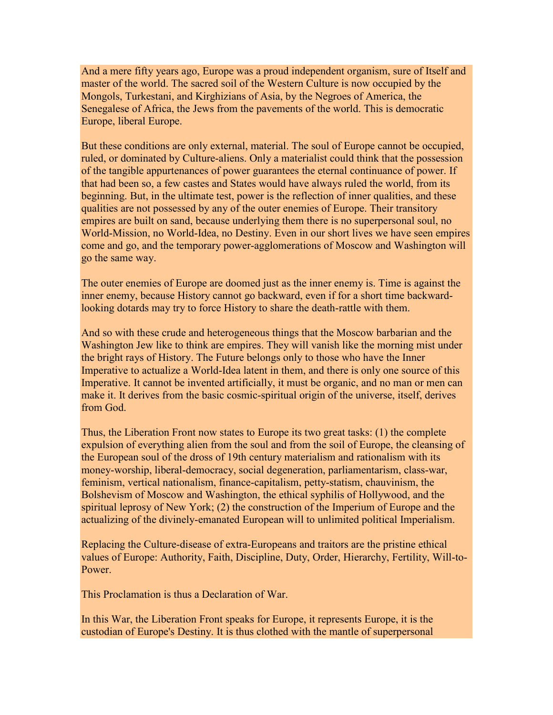And a mere fifty years ago, Europe was a proud independent organism, sure of Itself and master of the world. The sacred soil of the Western Culture is now occupied by the Mongols, Turkestani, and Kirghizians of Asia, by the Negroes of America, the Senegalese of Africa, the Jews from the pavements of the world. This is democratic Europe, liberal Europe.

But these conditions are only external, material. The soul of Europe cannot be occupied, ruled, or dominated by Culture-aliens. Only a materialist could think that the possession of the tangible appurtenances of power guarantees the eternal continuance of power. If that had been so, a few castes and States would have always ruled the world, from its beginning. But, in the ultimate test, power is the reflection of inner qualities, and these qualities are not possessed by any of the outer enemies of Europe. Their transitory empires are built on sand, because underlying them there is no superpersonal soul, no World-Mission, no World-Idea, no Destiny. Even in our short lives we have seen empires come and go, and the temporary power-agglomerations of Moscow and Washington will go the same way.

The outer enemies of Europe are doomed just as the inner enemy is. Time is against the inner enemy, because History cannot go backward, even if for a short time backwardlooking dotards may try to force History to share the death-rattle with them.

And so with these crude and heterogeneous things that the Moscow barbarian and the Washington Jew like to think are empires. They will vanish like the morning mist under the bright rays of History. The Future belongs only to those who have the Inner Imperative to actualize a World-Idea latent in them, and there is only one source of this Imperative. It cannot be invented artificially, it must be organic, and no man or men can make it. It derives from the basic cosmic-spiritual origin of the universe, itself, derives from God.

Thus, the Liberation Front now states to Europe its two great tasks: (1) the complete expulsion of everything alien from the soul and from the soil of Europe, the cleansing of the European soul of the dross of 19th century materialism and rationalism with its money-worship, liberal-democracy, social degeneration, parliamentarism, class-war, feminism, vertical nationalism, finance-capitalism, petty-statism, chauvinism, the Bolshevism of Moscow and Washington, the ethical syphilis of Hollywood, and the spiritual leprosy of New York; (2) the construction of the Imperium of Europe and the actualizing of the divinely-emanated European will to unlimited political Imperialism.

Replacing the Culture-disease of extra-Europeans and traitors are the pristine ethical values of Europe: Authority, Faith, Discipline, Duty, Order, Hierarchy, Fertility, Will-to-Power.

This Proclamation is thus a Declaration of War.

In this War, the Liberation Front speaks for Europe, it represents Europe, it is the custodian of Europe's Destiny. It is thus clothed with the mantle of superpersonal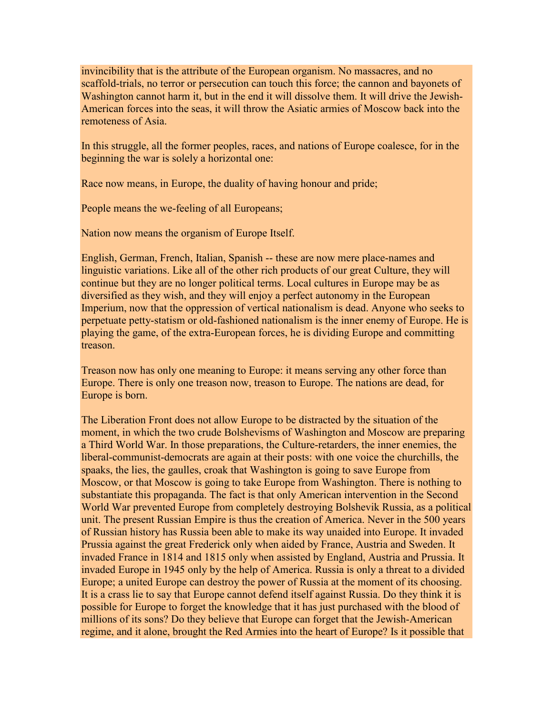invincibility that is the attribute of the European organism. No massacres, and no scaffold-trials, no terror or persecution can touch this force; the cannon and bayonets of Washington cannot harm it, but in the end it will dissolve them. It will drive the Jewish-American forces into the seas, it will throw the Asiatic armies of Moscow back into the remoteness of Asia.

In this struggle, all the former peoples, races, and nations of Europe coalesce, for in the beginning the war is solely a horizontal one:

Race now means, in Europe, the duality of having honour and pride;

People means the we-feeling of all Europeans;

Nation now means the organism of Europe Itself.

English, German, French, Italian, Spanish -- these are now mere place-names and linguistic variations. Like all of the other rich products of our great Culture, they will continue but they are no longer political terms. Local cultures in Europe may be as diversified as they wish, and they will enjoy a perfect autonomy in the European Imperium, now that the oppression of vertical nationalism is dead. Anyone who seeks to perpetuate petty-statism or old-fashioned nationalism is the inner enemy of Europe. He is playing the game, of the extra-European forces, he is dividing Europe and committing treason.

Treason now has only one meaning to Europe: it means serving any other force than Europe. There is only one treason now, treason to Europe. The nations are dead, for Europe is born.

The Liberation Front does not allow Europe to be distracted by the situation of the moment, in which the two crude Bolshevisms of Washington and Moscow are preparing a Third World War. In those preparations, the Culture-retarders, the inner enemies, the liberal-communist-democrats are again at their posts: with one voice the churchills, the spaaks, the lies, the gaulles, croak that Washington is going to save Europe from Moscow, or that Moscow is going to take Europe from Washington. There is nothing to substantiate this propaganda. The fact is that only American intervention in the Second World War prevented Europe from completely destroying Bolshevik Russia, as a political unit. The present Russian Empire is thus the creation of America. Never in the 500 years of Russian history has Russia been able to make its way unaided into Europe. It invaded Prussia against the great Frederick only when aided by France, Austria and Sweden. It invaded France in 1814 and 1815 only when assisted by England, Austria and Prussia. It invaded Europe in 1945 only by the help of America. Russia is only a threat to a divided Europe; a united Europe can destroy the power of Russia at the moment of its choosing. It is a crass lie to say that Europe cannot defend itself against Russia. Do they think it is possible for Europe to forget the knowledge that it has just purchased with the blood of millions of its sons? Do they believe that Europe can forget that the Jewish-American regime, and it alone, brought the Red Armies into the heart of Europe? Is it possible that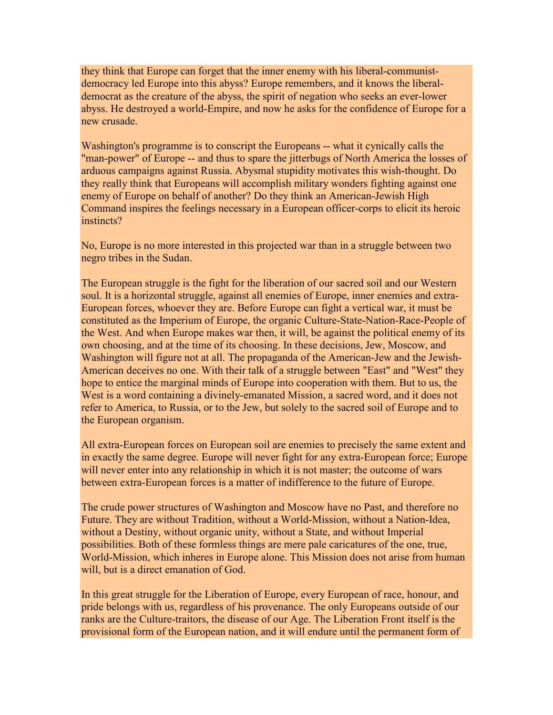they think that Europe can forget that the inner enemy with his liberal-communistdemocracy led Europe into this abyss? Europe remembers, and it knows the liberaldemocrat as the creature of the abyss, the spirit of negation who seeks an ever-lower abyss. He destroyed a world-Empire, and now he asks for the confidence of Europe for a new crusade.

Washington's programme is to conscript the Europeans -- what it cynically calls the "man-power" of Europe -- and thus to spare the jitterbugs of North America the losses of arduous campaigns against Russia. Abysmal stupidity motivates this wish-thought. Do they really think that Europeans will accomplish military wonders fighting against one enemy of Europe on behalf of another? Do they think an American-Jewish High Command inspires the feelings necessary in a European officer-corps to elicit its heroic instincts?

No, Europe is no more interested in this projected war than in a struggle between two negro tribes in the Sudan.

The European struggle is the fight for the liberation of our sacred soil and our Western soul. It is a horizontal struggle, against all enemies of Europe, inner enemies and extra-European forces, whoever they are. Before Europe can fight a vertical war, it must be constituted as the Imperium of Europe, the organic Culture-State-Nation-Race-People of the West. And when Europe makes war then, it will, be against the political enemy of its own choosing, and at the time of its choosing. In these decisions, Jew, Moscow, and Washington will figure not at all. The propaganda of the American-Jew and the Jewish-American deceives no one. With their talk of a struggle between "East" and "West" they hope to entice the marginal minds of Europe into cooperation with them. But to us, the West is a word containing a divinely-emanated Mission, a sacred word, and it does not refer to America, to Russia, or to the Jew, but solely to the sacred soil of Europe and to the European organism.

All extra-European forces on European soil are enemies to precisely the same extent and in exactly the same degree. Europe will never fight for any extra-European force; Europe will never enter into any relationship in which it is not master; the outcome of wars between extra-European forces is a matter of indifference to the future of Europe.

The crude power structures of Washington and Moscow have no Past, and therefore no Future. They are without Tradition, without a World-Mission, without a Nation-Idea, without a Destiny, without organic unity, without a State, and without Imperial possibilities. Both of these formless things are mere pale caricatures of the one, true, World-Mission, which inheres in Europe alone. This Mission does not arise from human will, but is a direct emanation of God.

In this great struggle for the Liberation of Europe, every European of race, honour, and pride belongs with us, regardless of his provenance. The only Europeans outside of our ranks are the Culture-traitors, the disease of our Age. The Liberation Front itself is the provisional form of the European nation, and it will endure until the permanent form of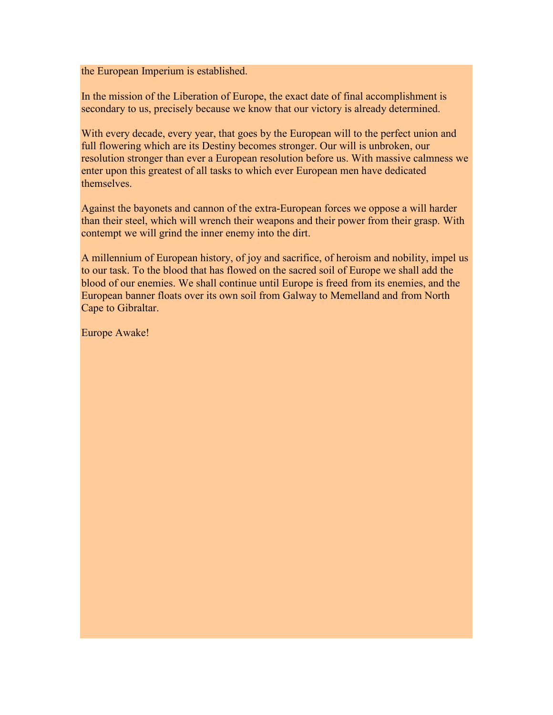the European Imperium is established.

In the mission of the Liberation of Europe, the exact date of final accomplishment is secondary to us, precisely because we know that our victory is already determined.

With every decade, every year, that goes by the European will to the perfect union and full flowering which are its Destiny becomes stronger. Our will is unbroken, our resolution stronger than ever a European resolution before us. With massive calmness we enter upon this greatest of all tasks to which ever European men have dedicated themselves.

Against the bayonets and cannon of the extra-European forces we oppose a will harder than their steel, which will wrench their weapons and their power from their grasp. With contempt we will grind the inner enemy into the dirt.

A millennium of European history, of joy and sacrifice, of heroism and nobility, impel us to our task. To the blood that has flowed on the sacred soil of Europe we shall add the blood of our enemies. We shall continue until Europe is freed from its enemies, and the European banner floats over its own soil from Galway to Memelland and from North Cape to Gibraltar.

Europe Awake!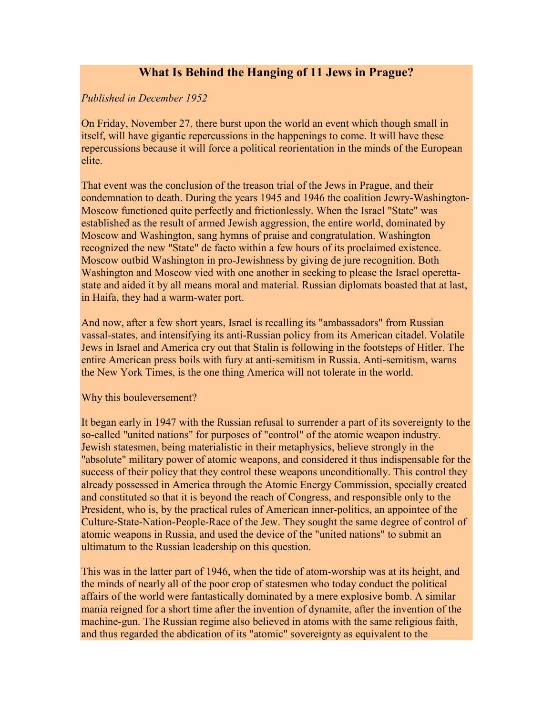## **What Is Behind the Hanging of 11 Jews in Prague?**

#### <span id="page-31-0"></span>*Published in December 1952*

On Friday, November 27, there burst upon the world an event which though small in itself, will have gigantic repercussions in the happenings to come. It will have these repercussions because it will force a political reorientation in the minds of the European elite.

That event was the conclusion of the treason trial of the Jews in Prague, and their condemnation to death. During the years 1945 and 1946 the coalition Jewry-Washington-Moscow functioned quite perfectly and frictionlessly. When the Israel "State" was established as the result of armed Jewish aggression, the entire world, dominated by Moscow and Washington, sang hymns of praise and congratulation. Washington recognized the new "State" de facto within a few hours of its proclaimed existence. Moscow outbid Washington in pro-Jewishness by giving de jure recognition. Both Washington and Moscow vied with one another in seeking to please the Israel operettastate and aided it by all means moral and material. Russian diplomats boasted that at last, in Haifa, they had a warm-water port.

And now, after a few short years, Israel is recalling its "ambassadors" from Russian vassal-states, and intensifying its anti-Russian policy from its American citadel. Volatile Jews in Israel and America cry out that Stalin is following in the footsteps of Hitler. The entire American press boils with fury at anti-semitism in Russia. Anti-semitism, warns the New York Times, is the one thing America will not tolerate in the world.

#### Why this bouleversement?

It began early in 1947 with the Russian refusal to surrender a part of its sovereignty to the so-called "united nations" for purposes of "control" of the atomic weapon industry. Jewish statesmen, being materialistic in their metaphysics, believe strongly in the "absolute" military power of atomic weapons, and considered it thus indispensable for the success of their policy that they control these weapons unconditionally. This control they already possessed in America through the Atomic Energy Commission, specially created and constituted so that it is beyond the reach of Congress, and responsible only to the President, who is, by the practical rules of American inner-politics, an appointee of the Culture-State-Nation-People-Race of the Jew. They sought the same degree of control of atomic weapons in Russia, and used the device of the "united nations" to submit an ultimatum to the Russian leadership on this question.

This was in the latter part of 1946, when the tide of atom-worship was at its height, and the minds of nearly all of the poor crop of statesmen who today conduct the political affairs of the world were fantastically dominated by a mere explosive bomb. A similar mania reigned for a short time after the invention of dynamite, after the invention of the machine-gun. The Russian regime also believed in atoms with the same religious faith, and thus regarded the abdication of its "atomic" sovereignty as equivalent to the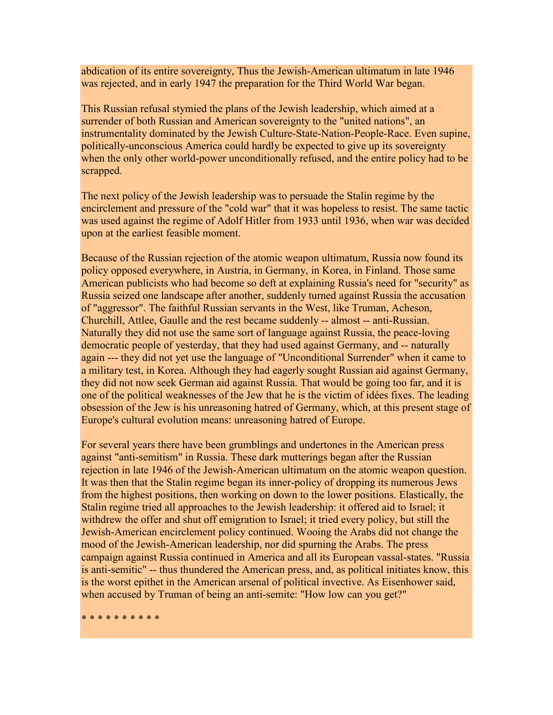abdication of its entire sovereignty, Thus the Jewish-American ultimatum in late 1946 was rejected, and in early 1947 the preparation for the Third World War began.

This Russian refusal stymied the plans of the Jewish leadership, which aimed at a surrender of both Russian and American sovereignty to the "united nations", an instrumentality dominated by the Jewish Culture-State-Nation-People-Race. Even supine, politically-unconscious America could hardly be expected to give up its sovereignty when the only other world-power unconditionally refused, and the entire policy had to be scrapped.

The next policy of the Jewish leadership was to persuade the Stalin regime by the encirclement and pressure of the "cold war" that it was hopeless to resist. The same tactic was used against the regime of Adolf Hitler from 1933 until 1936, when war was decided upon at the earliest feasible moment.

Because of the Russian rejection of the atomic weapon ultimatum, Russia now found its policy opposed everywhere, in Austria, in Germany, in Korea, in Finland. Those same American publicists who had become so deft at explaining Russia's need for "security" as Russia seized one landscape after another, suddenly turned against Russia the accusation of "aggressor". The faithful Russian servants in the West, like Truman, Acheson, Churchill, Attlee, Gaulle and the rest became suddenly -- almost -- anti-Russian. Naturally they did not use the same sort of language against Russia, the peace-loving democratic people of yesterday, that they had used against Germany, and -- naturally again --- they did not yet use the language of "Unconditional Surrender" when it came to a military test, in Korea. Although they had eagerly sought Russian aid against Germany, they did not now seek German aid against Russia. That would be going too far, and it is one of the political weaknesses of the Jew that he is the victim of idées fixes. The leading obsession of the Jew is his unreasoning hatred of Germany, which, at this present stage of Europe's cultural evolution means: unreasoning hatred of Europe.

For several years there have been grumblings and undertones in the American press against "anti-semitism" in Russia. These dark mutterings began after the Russian rejection in late 1946 of the Jewish-American ultimatum on the atomic weapon question. It was then that the Stalin regime began its inner-policy of dropping its numerous Jews from the highest positions, then working on down to the lower positions. Elastically, the Stalin regime tried all approaches to the Jewish leadership: it offered aid to Israel; it withdrew the offer and shut off emigration to Israel; it tried every policy, but still the Jewish-American encirclement policy continued. Wooing the Arabs did not change the mood of the Jewish-American leadership, nor did spurning the Arabs. The press campaign against Russia continued in America and all its European vassal-states. "Russia is anti-semitic" -- thus thundered the American press, and, as political initiates know, this is the worst epithet in the American arsenal of political invective. As Eisenhower said, when accused by Truman of being an anti-semite: "How low can you get?"

\* \* \* \* \* \* \* \* \* \*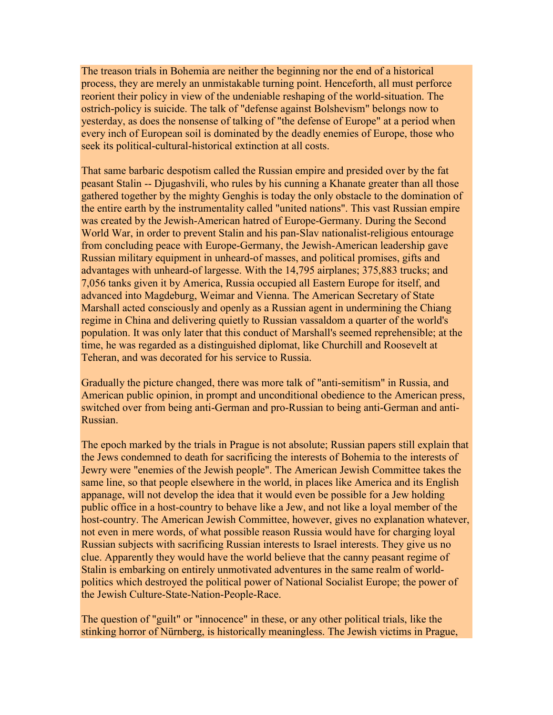The treason trials in Bohemia are neither the beginning nor the end of a historical process, they are merely an unmistakable turning point. Henceforth, all must perforce reorient their policy in view of the undeniable reshaping of the world-situation. The ostrich-policy is suicide. The talk of "defense against Bolshevism" belongs now to yesterday, as does the nonsense of talking of "the defense of Europe" at a period when every inch of European soil is dominated by the deadly enemies of Europe, those who seek its political-cultural-historical extinction at all costs.

That same barbaric despotism called the Russian empire and presided over by the fat peasant Stalin -- Djugashvili, who rules by his cunning a Khanate greater than all those gathered together by the mighty Genghis is today the only obstacle to the domination of the entire earth by the instrumentality called "united nations". This vast Russian empire was created by the Jewish-American hatred of Europe-Germany. During the Second World War, in order to prevent Stalin and his pan-Slav nationalist-religious entourage from concluding peace with Europe-Germany, the Jewish-American leadership gave Russian military equipment in unheard-of masses, and political promises, gifts and advantages with unheard-of largesse. With the 14,795 airplanes; 375,883 trucks; and 7,056 tanks given it by America, Russia occupied all Eastern Europe for itself, and advanced into Magdeburg, Weimar and Vienna. The American Secretary of State Marshall acted consciously and openly as a Russian agent in undermining the Chiang regime in China and delivering quietly to Russian vassaldom a quarter of the world's population. It was only later that this conduct of Marshall's seemed reprehensible; at the time, he was regarded as a distinguished diplomat, like Churchill and Roosevelt at Teheran, and was decorated for his service to Russia.

Gradually the picture changed, there was more talk of "anti-semitism" in Russia, and American public opinion, in prompt and unconditional obedience to the American press, switched over from being anti-German and pro-Russian to being anti-German and anti-Russian.

The epoch marked by the trials in Prague is not absolute; Russian papers still explain that the Jews condemned to death for sacrificing the interests of Bohemia to the interests of Jewry were "enemies of the Jewish people". The American Jewish Committee takes the same line, so that people elsewhere in the world, in places like America and its English appanage, will not develop the idea that it would even be possible for a Jew holding public office in a host-country to behave like a Jew, and not like a loyal member of the host-country. The American Jewish Committee, however, gives no explanation whatever, not even in mere words, of what possible reason Russia would have for charging loyal Russian subjects with sacrificing Russian interests to Israel interests. They give us no clue. Apparently they would have the world believe that the canny peasant regime of Stalin is embarking on entirely unmotivated adventures in the same realm of worldpolitics which destroyed the political power of National Socialist Europe; the power of the Jewish Culture-State-Nation-People-Race.

The question of "guilt" or "innocence" in these, or any other political trials, like the stinking horror of Nürnberg, is historically meaningless. The Jewish victims in Prague,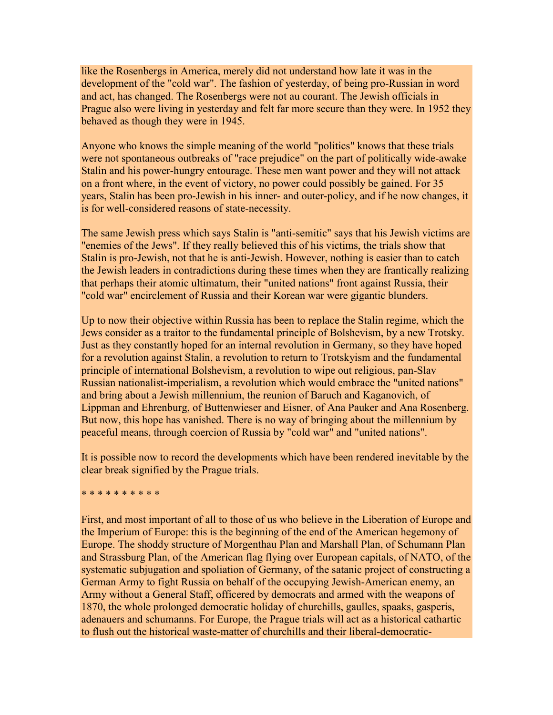like the Rosenbergs in America, merely did not understand how late it was in the development of the "cold war". The fashion of yesterday, of being pro-Russian in word and act, has changed. The Rosenbergs were not au courant. The Jewish officials in Prague also were living in yesterday and felt far more secure than they were. In 1952 they behaved as though they were in 1945.

Anyone who knows the simple meaning of the world "politics" knows that these trials were not spontaneous outbreaks of "race prejudice" on the part of politically wide-awake Stalin and his power-hungry entourage. These men want power and they will not attack on a front where, in the event of victory, no power could possibly be gained. For 35 years, Stalin has been pro-Jewish in his inner- and outer-policy, and if he now changes, it is for well-considered reasons of state-necessity.

The same Jewish press which says Stalin is "anti-semitic" says that his Jewish victims are "enemies of the Jews". If they really believed this of his victims, the trials show that Stalin is pro-Jewish, not that he is anti-Jewish. However, nothing is easier than to catch the Jewish leaders in contradictions during these times when they are frantically realizing that perhaps their atomic ultimatum, their "united nations" front against Russia, their "cold war" encirclement of Russia and their Korean war were gigantic blunders.

Up to now their objective within Russia has been to replace the Stalin regime, which the Jews consider as a traitor to the fundamental principle of Bolshevism, by a new Trotsky. Just as they constantly hoped for an internal revolution in Germany, so they have hoped for a revolution against Stalin, a revolution to return to Trotskyism and the fundamental principle of international Bolshevism, a revolution to wipe out religious, pan-Slav Russian nationalist-imperialism, a revolution which would embrace the "united nations" and bring about a Jewish millennium, the reunion of Baruch and Kaganovich, of Lippman and Ehrenburg, of Buttenwieser and Eisner, of Ana Pauker and Ana Rosenberg. But now, this hope has vanished. There is no way of bringing about the millennium by peaceful means, through coercion of Russia by "cold war" and "united nations".

It is possible now to record the developments which have been rendered inevitable by the clear break signified by the Prague trials.

#### \* \* \* \* \* \* \* \* \* \*

First, and most important of all to those of us who believe in the Liberation of Europe and the Imperium of Europe: this is the beginning of the end of the American hegemony of Europe. The shoddy structure of Morgenthau Plan and Marshall Plan, of Schumann Plan and Strassburg Plan, of the American flag flying over European capitals, of NATO, of the systematic subjugation and spoliation of Germany, of the satanic project of constructing a German Army to fight Russia on behalf of the occupying Jewish-American enemy, an Army without a General Staff, officered by democrats and armed with the weapons of 1870, the whole prolonged democratic holiday of churchills, gaulles, spaaks, gasperis, adenauers and schumanns. For Europe, the Prague trials will act as a historical cathartic to flush out the historical waste-matter of churchills and their liberal-democratic-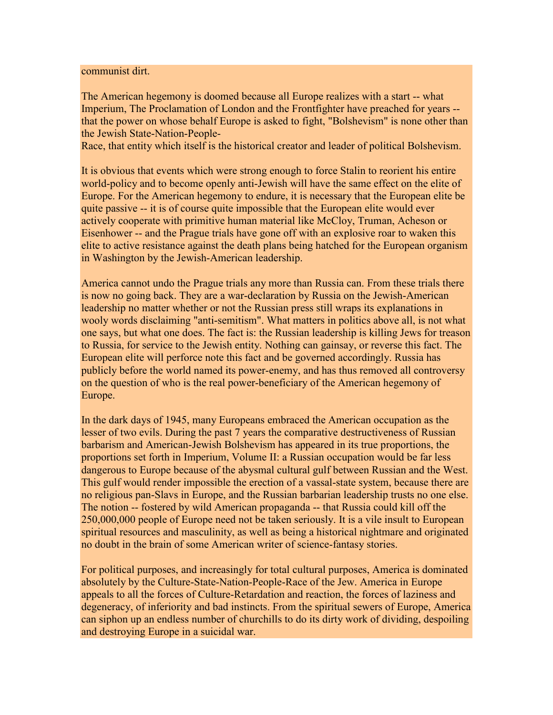#### communist dirt.

The American hegemony is doomed because all Europe realizes with a start -- what Imperium, The Proclamation of London and the Frontfighter have preached for years - that the power on whose behalf Europe is asked to fight, "Bolshevism" is none other than the Jewish State-Nation-People-

Race, that entity which itself is the historical creator and leader of political Bolshevism.

It is obvious that events which were strong enough to force Stalin to reorient his entire world-policy and to become openly anti-Jewish will have the same effect on the elite of Europe. For the American hegemony to endure, it is necessary that the European elite be quite passive -- it is of course quite impossible that the European elite would ever actively cooperate with primitive human material like McCloy, Truman, Acheson or Eisenhower -- and the Prague trials have gone off with an explosive roar to waken this elite to active resistance against the death plans being hatched for the European organism in Washington by the Jewish-American leadership.

America cannot undo the Prague trials any more than Russia can. From these trials there is now no going back. They are a war-declaration by Russia on the Jewish-American leadership no matter whether or not the Russian press still wraps its explanations in wooly words disclaiming "anti-semitism". What matters in politics above all, is not what one says, but what one does. The fact is: the Russian leadership is killing Jews for treason to Russia, for service to the Jewish entity. Nothing can gainsay, or reverse this fact. The European elite will perforce note this fact and be governed accordingly. Russia has publicly before the world named its power-enemy, and has thus removed all controversy on the question of who is the real power-beneficiary of the American hegemony of Europe.

In the dark days of 1945, many Europeans embraced the American occupation as the lesser of two evils. During the past 7 years the comparative destructiveness of Russian barbarism and American-Jewish Bolshevism has appeared in its true proportions, the proportions set forth in Imperium, Volume II: a Russian occupation would be far less dangerous to Europe because of the abysmal cultural gulf between Russian and the West. This gulf would render impossible the erection of a vassal-state system, because there are no religious pan-Slavs in Europe, and the Russian barbarian leadership trusts no one else. The notion -- fostered by wild American propaganda -- that Russia could kill off the 250,000,000 people of Europe need not be taken seriously. It is a vile insult to European spiritual resources and masculinity, as well as being a historical nightmare and originated no doubt in the brain of some American writer of science-fantasy stories.

For political purposes, and increasingly for total cultural purposes, America is dominated absolutely by the Culture-State-Nation-People-Race of the Jew. America in Europe appeals to all the forces of Culture-Retardation and reaction, the forces of laziness and degeneracy, of inferiority and bad instincts. From the spiritual sewers of Europe, America can siphon up an endless number of churchills to do its dirty work of dividing, despoiling and destroying Europe in a suicidal war.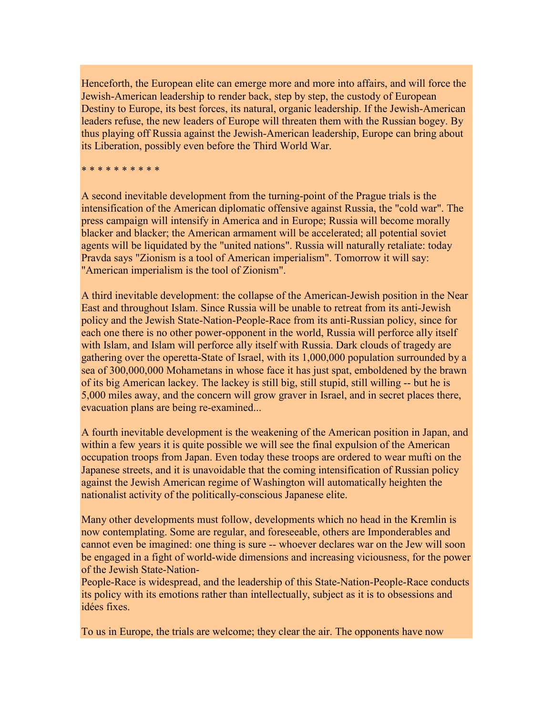Henceforth, the European elite can emerge more and more into affairs, and will force the Jewish-American leadership to render back, step by step, the custody of European Destiny to Europe, its best forces, its natural, organic leadership. If the Jewish-American leaders refuse, the new leaders of Europe will threaten them with the Russian bogey. By thus playing off Russia against the Jewish-American leadership, Europe can bring about its Liberation, possibly even before the Third World War.

\* \* \* \* \* \* \* \* \* \*

A second inevitable development from the turning-point of the Prague trials is the intensification of the American diplomatic offensive against Russia, the "cold war". The press campaign will intensify in America and in Europe; Russia will become morally blacker and blacker; the American armament will be accelerated; all potential soviet agents will be liquidated by the "united nations". Russia will naturally retaliate: today Pravda says "Zionism is a tool of American imperialism". Tomorrow it will say: "American imperialism is the tool of Zionism".

A third inevitable development: the collapse of the American-Jewish position in the Near East and throughout Islam. Since Russia will be unable to retreat from its anti-Jewish policy and the Jewish State-Nation-People-Race from its anti-Russian policy, since for each one there is no other power-opponent in the world, Russia will perforce ally itself with Islam, and Islam will perforce ally itself with Russia. Dark clouds of tragedy are gathering over the operetta-State of Israel, with its 1,000,000 population surrounded by a sea of 300,000,000 Mohametans in whose face it has just spat, emboldened by the brawn of its big American lackey. The lackey is still big, still stupid, still willing -- but he is 5,000 miles away, and the concern will grow graver in Israel, and in secret places there, evacuation plans are being re-examined...

A fourth inevitable development is the weakening of the American position in Japan, and within a few years it is quite possible we will see the final expulsion of the American occupation troops from Japan. Even today these troops are ordered to wear mufti on the Japanese streets, and it is unavoidable that the coming intensification of Russian policy against the Jewish American regime of Washington will automatically heighten the nationalist activity of the politically-conscious Japanese elite.

Many other developments must follow, developments which no head in the Kremlin is now contemplating. Some are regular, and foreseeable, others are Imponderables and cannot even be imagined: one thing is sure -- whoever declares war on the Jew will soon be engaged in a fight of world-wide dimensions and increasing viciousness, for the power of the Jewish State-Nation-

People-Race is widespread, and the leadership of this State-Nation-People-Race conducts its policy with its emotions rather than intellectually, subject as it is to obsessions and idées fixes.

To us in Europe, the trials are welcome; they clear the air. The opponents have now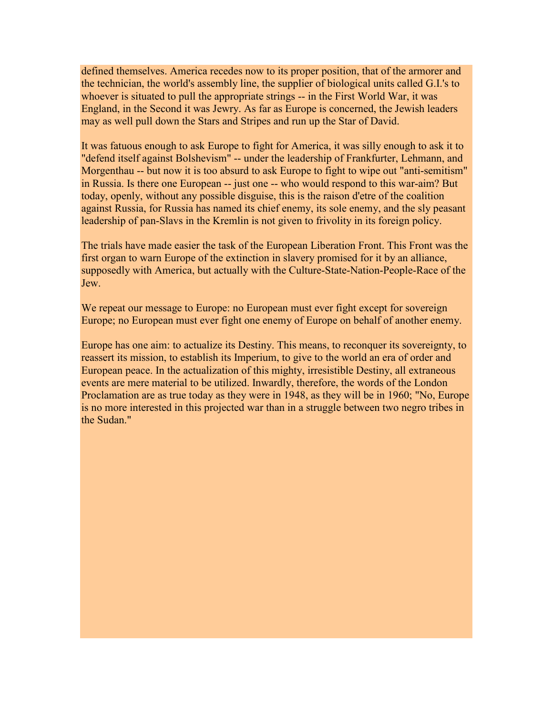defined themselves. America recedes now to its proper position, that of the armorer and the technician, the world's assembly line, the supplier of biological units called G.I.'s to whoever is situated to pull the appropriate strings -- in the First World War, it was England, in the Second it was Jewry. As far as Europe is concerned, the Jewish leaders may as well pull down the Stars and Stripes and run up the Star of David.

It was fatuous enough to ask Europe to fight for America, it was silly enough to ask it to "defend itself against Bolshevism" -- under the leadership of Frankfurter, Lehmann, and Morgenthau -- but now it is too absurd to ask Europe to fight to wipe out "anti-semitism" in Russia. Is there one European -- just one -- who would respond to this war-aim? But today, openly, without any possible disguise, this is the raison d'etre of the coalition against Russia, for Russia has named its chief enemy, its sole enemy, and the sly peasant leadership of pan-Slavs in the Kremlin is not given to frivolity in its foreign policy.

The trials have made easier the task of the European Liberation Front. This Front was the first organ to warn Europe of the extinction in slavery promised for it by an alliance, supposedly with America, but actually with the Culture-State-Nation-People-Race of the Jew.

We repeat our message to Europe: no European must ever fight except for sovereign Europe; no European must ever fight one enemy of Europe on behalf of another enemy.

Europe has one aim: to actualize its Destiny. This means, to reconquer its sovereignty, to reassert its mission, to establish its Imperium, to give to the world an era of order and European peace. In the actualization of this mighty, irresistible Destiny, all extraneous events are mere material to be utilized. Inwardly, therefore, the words of the London Proclamation are as true today as they were in 1948, as they will be in 1960; "No, Europe is no more interested in this projected war than in a struggle between two negro tribes in the Sudan."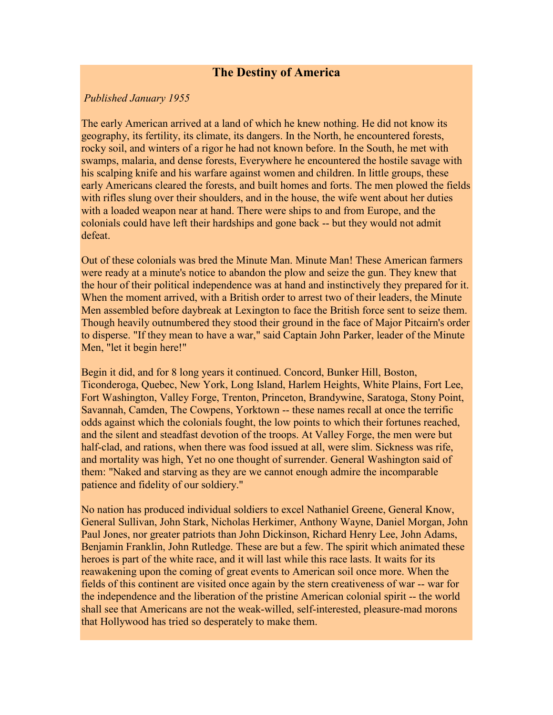## **The Destiny of America**

#### <span id="page-38-0"></span>*Published January 1955*

The early American arrived at a land of which he knew nothing. He did not know its geography, its fertility, its climate, its dangers. In the North, he encountered forests, rocky soil, and winters of a rigor he had not known before. In the South, he met with swamps, malaria, and dense forests, Everywhere he encountered the hostile savage with his scalping knife and his warfare against women and children. In little groups, these early Americans cleared the forests, and built homes and forts. The men plowed the fields with rifles slung over their shoulders, and in the house, the wife went about her duties with a loaded weapon near at hand. There were ships to and from Europe, and the colonials could have left their hardships and gone back -- but they would not admit defeat.

Out of these colonials was bred the Minute Man. Minute Man! These American farmers were ready at a minute's notice to abandon the plow and seize the gun. They knew that the hour of their political independence was at hand and instinctively they prepared for it. When the moment arrived, with a British order to arrest two of their leaders, the Minute Men assembled before daybreak at Lexington to face the British force sent to seize them. Though heavily outnumbered they stood their ground in the face of Major Pitcairn's order to disperse. "If they mean to have a war," said Captain John Parker, leader of the Minute Men, "let it begin here!"

Begin it did, and for 8 long years it continued. Concord, Bunker Hill, Boston, Ticonderoga, Quebec, New York, Long Island, Harlem Heights, White Plains, Fort Lee, Fort Washington, Valley Forge, Trenton, Princeton, Brandywine, Saratoga, Stony Point, Savannah, Camden, The Cowpens, Yorktown -- these names recall at once the terrific odds against which the colonials fought, the low points to which their fortunes reached, and the silent and steadfast devotion of the troops. At Valley Forge, the men were but half-clad, and rations, when there was food issued at all, were slim. Sickness was rife, and mortality was high, Yet no one thought of surrender. General Washington said of them: "Naked and starving as they are we cannot enough admire the incomparable patience and fidelity of our soldiery."

No nation has produced individual soldiers to excel Nathaniel Greene, General Know, General Sullivan, John Stark, Nicholas Herkimer, Anthony Wayne, Daniel Morgan, John Paul Jones, nor greater patriots than John Dickinson, Richard Henry Lee, John Adams, Benjamin Franklin, John Rutledge. These are but a few. The spirit which animated these heroes is part of the white race, and it will last while this race lasts. It waits for its reawakening upon the coming of great events to American soil once more. When the fields of this continent are visited once again by the stern creativeness of war -- war for the independence and the liberation of the pristine American colonial spirit -- the world shall see that Americans are not the weak-willed, self-interested, pleasure-mad morons that Hollywood has tried so desperately to make them.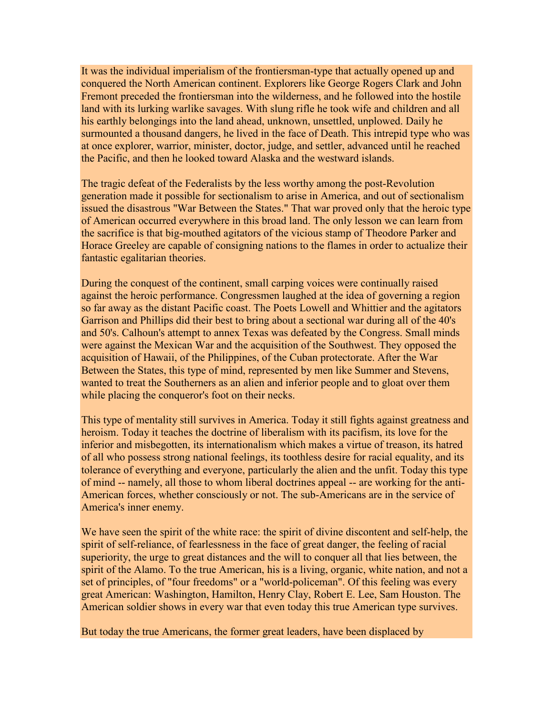It was the individual imperialism of the frontiersman-type that actually opened up and conquered the North American continent. Explorers like George Rogers Clark and John Fremont preceded the frontiersman into the wilderness, and he followed into the hostile land with its lurking warlike savages. With slung rifle he took wife and children and all his earthly belongings into the land ahead, unknown, unsettled, unplowed. Daily he surmounted a thousand dangers, he lived in the face of Death. This intrepid type who was at once explorer, warrior, minister, doctor, judge, and settler, advanced until he reached the Pacific, and then he looked toward Alaska and the westward islands.

The tragic defeat of the Federalists by the less worthy among the post-Revolution generation made it possible for sectionalism to arise in America, and out of sectionalism issued the disastrous "War Between the States." That war proved only that the heroic type of American occurred everywhere in this broad land. The only lesson we can learn from the sacrifice is that big-mouthed agitators of the vicious stamp of Theodore Parker and Horace Greeley are capable of consigning nations to the flames in order to actualize their fantastic egalitarian theories.

During the conquest of the continent, small carping voices were continually raised against the heroic performance. Congressmen laughed at the idea of governing a region so far away as the distant Pacific coast. The Poets Lowell and Whittier and the agitators Garrison and Phillips did their best to bring about a sectional war during all of the 40's and 50's. Calhoun's attempt to annex Texas was defeated by the Congress. Small minds were against the Mexican War and the acquisition of the Southwest. They opposed the acquisition of Hawaii, of the Philippines, of the Cuban protectorate. After the War Between the States, this type of mind, represented by men like Summer and Stevens, wanted to treat the Southerners as an alien and inferior people and to gloat over them while placing the conqueror's foot on their necks.

This type of mentality still survives in America. Today it still fights against greatness and heroism. Today it teaches the doctrine of liberalism with its pacifism, its love for the inferior and misbegotten, its internationalism which makes a virtue of treason, its hatred of all who possess strong national feelings, its toothless desire for racial equality, and its tolerance of everything and everyone, particularly the alien and the unfit. Today this type of mind -- namely, all those to whom liberal doctrines appeal -- are working for the anti-American forces, whether consciously or not. The sub-Americans are in the service of America's inner enemy.

We have seen the spirit of the white race: the spirit of divine discontent and self-help, the spirit of self-reliance, of fearlessness in the face of great danger, the feeling of racial superiority, the urge to great distances and the will to conquer all that lies between, the spirit of the Alamo. To the true American, his is a living, organic, white nation, and not a set of principles, of "four freedoms" or a "world-policeman". Of this feeling was every great American: Washington, Hamilton, Henry Clay, Robert E. Lee, Sam Houston. The American soldier shows in every war that even today this true American type survives.

But today the true Americans, the former great leaders, have been displaced by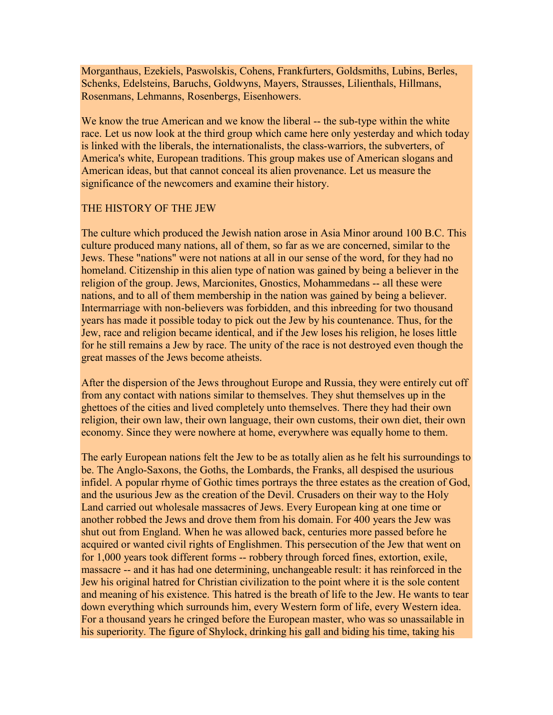Morganthaus, Ezekiels, Paswolskis, Cohens, Frankfurters, Goldsmiths, Lubins, Berles, Schenks, Edelsteins, Baruchs, Goldwyns, Mayers, Strausses, Lilienthals, Hillmans, Rosenmans, Lehmanns, Rosenbergs, Eisenhowers.

We know the true American and we know the liberal -- the sub-type within the white race. Let us now look at the third group which came here only yesterday and which today is linked with the liberals, the internationalists, the class-warriors, the subverters, of America's white, European traditions. This group makes use of American slogans and American ideas, but that cannot conceal its alien provenance. Let us measure the significance of the newcomers and examine their history.

#### THE HISTORY OF THE JEW

The culture which produced the Jewish nation arose in Asia Minor around 100 B.C. This culture produced many nations, all of them, so far as we are concerned, similar to the Jews. These "nations" were not nations at all in our sense of the word, for they had no homeland. Citizenship in this alien type of nation was gained by being a believer in the religion of the group. Jews, Marcionites, Gnostics, Mohammedans -- all these were nations, and to all of them membership in the nation was gained by being a believer. Intermarriage with non-believers was forbidden, and this inbreeding for two thousand years has made it possible today to pick out the Jew by his countenance. Thus, for the Jew, race and religion became identical, and if the Jew loses his religion, he loses little for he still remains a Jew by race. The unity of the race is not destroyed even though the great masses of the Jews become atheists.

After the dispersion of the Jews throughout Europe and Russia, they were entirely cut off from any contact with nations similar to themselves. They shut themselves up in the ghettoes of the cities and lived completely unto themselves. There they had their own religion, their own law, their own language, their own customs, their own diet, their own economy. Since they were nowhere at home, everywhere was equally home to them.

The early European nations felt the Jew to be as totally alien as he felt his surroundings to be. The Anglo-Saxons, the Goths, the Lombards, the Franks, all despised the usurious infidel. A popular rhyme of Gothic times portrays the three estates as the creation of God, and the usurious Jew as the creation of the Devil. Crusaders on their way to the Holy Land carried out wholesale massacres of Jews. Every European king at one time or another robbed the Jews and drove them from his domain. For 400 years the Jew was shut out from England. When he was allowed back, centuries more passed before he acquired or wanted civil rights of Englishmen. This persecution of the Jew that went on for 1,000 years took different forms -- robbery through forced fines, extortion, exile, massacre -- and it has had one determining, unchangeable result: it has reinforced in the Jew his original hatred for Christian civilization to the point where it is the sole content and meaning of his existence. This hatred is the breath of life to the Jew. He wants to tear down everything which surrounds him, every Western form of life, every Western idea. For a thousand years he cringed before the European master, who was so unassailable in his superiority. The figure of Shylock, drinking his gall and biding his time, taking his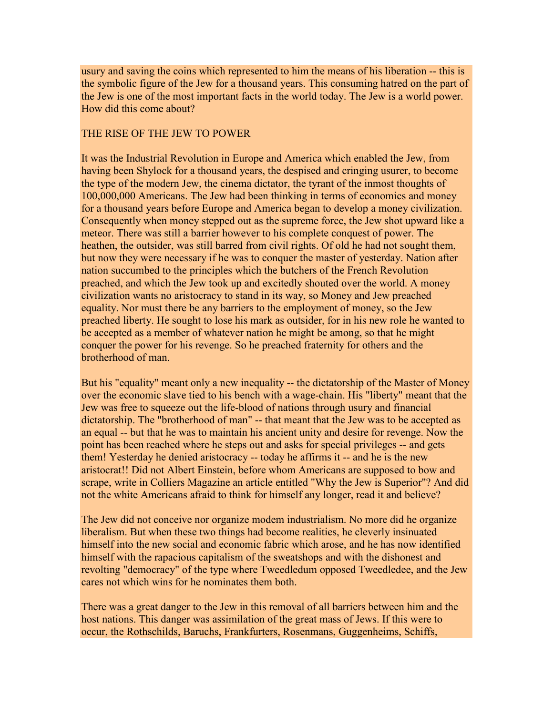usury and saving the coins which represented to him the means of his liberation -- this is the symbolic figure of the Jew for a thousand years. This consuming hatred on the part of the Jew is one of the most important facts in the world today. The Jew is a world power. How did this come about?

#### THE RISE OF THE JEW TO POWER

It was the Industrial Revolution in Europe and America which enabled the Jew, from having been Shylock for a thousand years, the despised and cringing usurer, to become the type of the modern Jew, the cinema dictator, the tyrant of the inmost thoughts of 100,000,000 Americans. The Jew had been thinking in terms of economics and money for a thousand years before Europe and America began to develop a money civilization. Consequently when money stepped out as the supreme force, the Jew shot upward like a meteor. There was still a barrier however to his complete conquest of power. The heathen, the outsider, was still barred from civil rights. Of old he had not sought them, but now they were necessary if he was to conquer the master of yesterday. Nation after nation succumbed to the principles which the butchers of the French Revolution preached, and which the Jew took up and excitedly shouted over the world. A money civilization wants no aristocracy to stand in its way, so Money and Jew preached equality. Nor must there be any barriers to the employment of money, so the Jew preached liberty. He sought to lose his mark as outsider, for in his new role he wanted to be accepted as a member of whatever nation he might be among, so that he might conquer the power for his revenge. So he preached fraternity for others and the brotherhood of man.

But his "equality" meant only a new inequality -- the dictatorship of the Master of Money over the economic slave tied to his bench with a wage-chain. His "liberty" meant that the Jew was free to squeeze out the life-blood of nations through usury and financial dictatorship. The "brotherhood of man" -- that meant that the Jew was to be accepted as an equal -- but that he was to maintain his ancient unity and desire for revenge. Now the point has been reached where he steps out and asks for special privileges -- and gets them! Yesterday he denied aristocracy -- today he affirms it -- and he is the new aristocrat!! Did not Albert Einstein, before whom Americans are supposed to bow and scrape, write in Colliers Magazine an article entitled "Why the Jew is Superior"? And did not the white Americans afraid to think for himself any longer, read it and believe?

The Jew did not conceive nor organize modem industrialism. No more did he organize liberalism. But when these two things had become realities, he cleverly insinuated himself into the new social and economic fabric which arose, and he has now identified himself with the rapacious capitalism of the sweatshops and with the dishonest and revolting "democracy" of the type where Tweedledum opposed Tweedledee, and the Jew cares not which wins for he nominates them both.

There was a great danger to the Jew in this removal of all barriers between him and the host nations. This danger was assimilation of the great mass of Jews. If this were to occur, the Rothschilds, Baruchs, Frankfurters, Rosenmans, Guggenheims, Schiffs,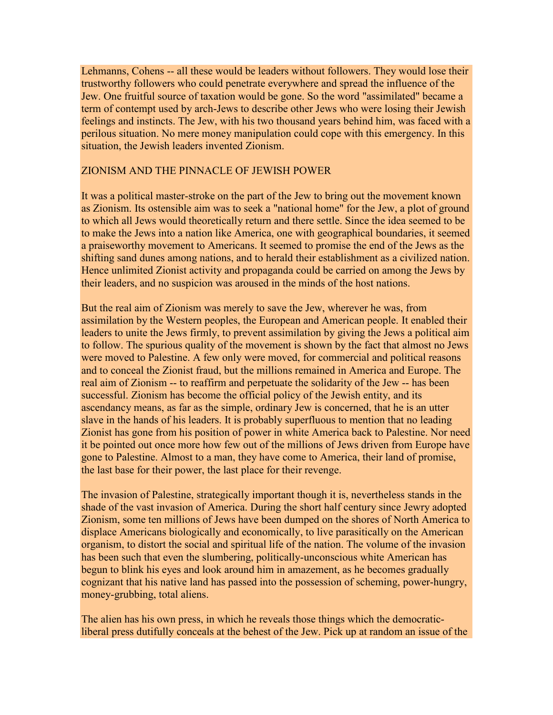Lehmanns, Cohens -- all these would be leaders without followers. They would lose their trustworthy followers who could penetrate everywhere and spread the influence of the Jew. One fruitful source of taxation would be gone. So the word "assimilated" became a term of contempt used by arch-Jews to describe other Jews who were losing their Jewish feelings and instincts. The Jew, with his two thousand years behind him, was faced with a perilous situation. No mere money manipulation could cope with this emergency. In this situation, the Jewish leaders invented Zionism.

#### ZIONISM AND THE PINNACLE OF JEWISH POWER

It was a political master-stroke on the part of the Jew to bring out the movement known as Zionism. Its ostensible aim was to seek a "national home" for the Jew, a plot of ground to which all Jews would theoretically return and there settle. Since the idea seemed to be to make the Jews into a nation like America, one with geographical boundaries, it seemed a praiseworthy movement to Americans. It seemed to promise the end of the Jews as the shifting sand dunes among nations, and to herald their establishment as a civilized nation. Hence unlimited Zionist activity and propaganda could be carried on among the Jews by their leaders, and no suspicion was aroused in the minds of the host nations.

But the real aim of Zionism was merely to save the Jew, wherever he was, from assimilation by the Western peoples, the European and American people. It enabled their leaders to unite the Jews firmly, to prevent assimilation by giving the Jews a political aim to follow. The spurious quality of the movement is shown by the fact that almost no Jews were moved to Palestine. A few only were moved, for commercial and political reasons and to conceal the Zionist fraud, but the millions remained in America and Europe. The real aim of Zionism -- to reaffirm and perpetuate the solidarity of the Jew -- has been successful. Zionism has become the official policy of the Jewish entity, and its ascendancy means, as far as the simple, ordinary Jew is concerned, that he is an utter slave in the hands of his leaders. It is probably superfluous to mention that no leading Zionist has gone from his position of power in white America back to Palestine. Nor need it be pointed out once more how few out of the millions of Jews driven from Europe have gone to Palestine. Almost to a man, they have come to America, their land of promise, the last base for their power, the last place for their revenge.

The invasion of Palestine, strategically important though it is, nevertheless stands in the shade of the vast invasion of America. During the short half century since Jewry adopted Zionism, some ten millions of Jews have been dumped on the shores of North America to displace Americans biologically and economically, to live parasitically on the American organism, to distort the social and spiritual life of the nation. The volume of the invasion has been such that even the slumbering, politically-unconscious white American has begun to blink his eyes and look around him in amazement, as he becomes gradually cognizant that his native land has passed into the possession of scheming, power-hungry, money-grubbing, total aliens.

The alien has his own press, in which he reveals those things which the democraticliberal press dutifully conceals at the behest of the Jew. Pick up at random an issue of the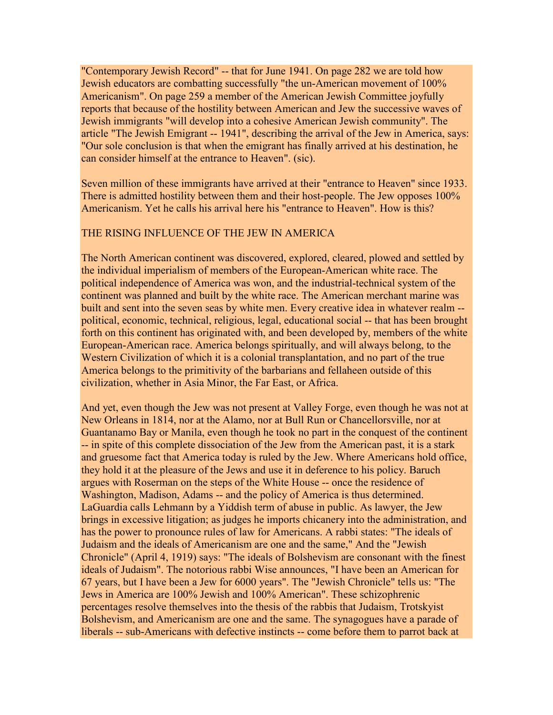"Contemporary Jewish Record" -- that for June 1941. On page 282 we are told how Jewish educators are combatting successfully "the un-American movement of 100% Americanism". On page 259 a member of the American Jewish Committee joyfully reports that because of the hostility between American and Jew the successive waves of Jewish immigrants "will develop into a cohesive American Jewish community". The article "The Jewish Emigrant -- 1941", describing the arrival of the Jew in America, says: "Our sole conclusion is that when the emigrant has finally arrived at his destination, he can consider himself at the entrance to Heaven". (sic).

Seven million of these immigrants have arrived at their "entrance to Heaven" since 1933. There is admitted hostility between them and their host-people. The Jew opposes 100% Americanism. Yet he calls his arrival here his "entrance to Heaven". How is this?

## THE RISING INFLUENCE OF THE JEW IN AMERICA

The North American continent was discovered, explored, cleared, plowed and settled by the individual imperialism of members of the European-American white race. The political independence of America was won, and the industrial-technical system of the continent was planned and built by the white race. The American merchant marine was built and sent into the seven seas by white men. Every creative idea in whatever realm - political, economic, technical, religious, legal, educational social -- that has been brought forth on this continent has originated with, and been developed by, members of the white European-American race. America belongs spiritually, and will always belong, to the Western Civilization of which it is a colonial transplantation, and no part of the true America belongs to the primitivity of the barbarians and fellaheen outside of this civilization, whether in Asia Minor, the Far East, or Africa.

And yet, even though the Jew was not present at Valley Forge, even though he was not at New Orleans in 1814, nor at the Alamo, nor at Bull Run or Chancellorsville, nor at Guantanamo Bay or Manila, even though he took no part in the conquest of the continent -- in spite of this complete dissociation of the Jew from the American past, it is a stark and gruesome fact that America today is ruled by the Jew. Where Americans hold office, they hold it at the pleasure of the Jews and use it in deference to his policy. Baruch argues with Roserman on the steps of the White House -- once the residence of Washington, Madison, Adams -- and the policy of America is thus determined. LaGuardia calls Lehmann by a Yiddish term of abuse in public. As lawyer, the Jew brings in excessive litigation; as judges he imports chicanery into the administration, and has the power to pronounce rules of law for Americans. A rabbi states: "The ideals of Judaism and the ideals of Americanism are one and the same," And the "Jewish Chronicle" (April 4, 1919) says: "The ideals of Bolshevism are consonant with the finest ideals of Judaism". The notorious rabbi Wise announces, "I have been an American for 67 years, but I have been a Jew for 6000 years". The "Jewish Chronicle" tells us: "The Jews in America are 100% Jewish and 100% American". These schizophrenic percentages resolve themselves into the thesis of the rabbis that Judaism, Trotskyist Bolshevism, and Americanism are one and the same. The synagogues have a parade of liberals -- sub-Americans with defective instincts -- come before them to parrot back at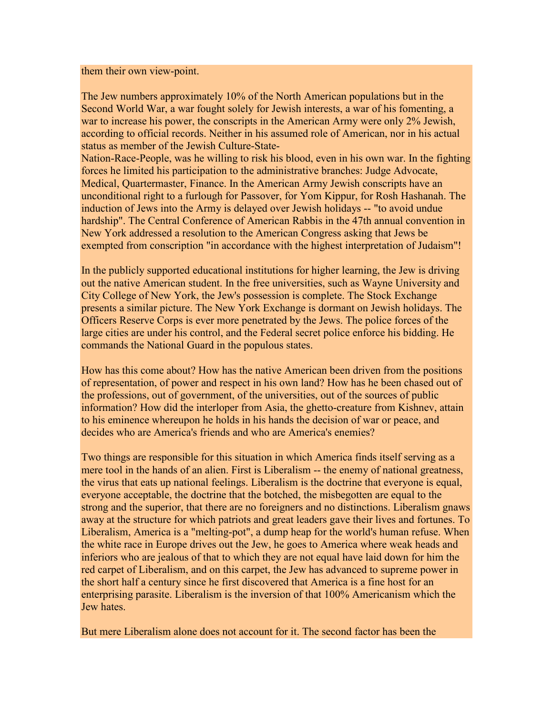them their own view-point.

The Jew numbers approximately 10% of the North American populations but in the Second World War, a war fought solely for Jewish interests, a war of his fomenting, a war to increase his power, the conscripts in the American Army were only 2% Jewish, according to official records. Neither in his assumed role of American, nor in his actual status as member of the Jewish Culture-State-

Nation-Race-People, was he willing to risk his blood, even in his own war. In the fighting forces he limited his participation to the administrative branches: Judge Advocate, Medical, Quartermaster, Finance. In the American Army Jewish conscripts have an unconditional right to a furlough for Passover, for Yom Kippur, for Rosh Hashanah. The induction of Jews into the Army is delayed over Jewish holidays -- "to avoid undue hardship". The Central Conference of American Rabbis in the 47th annual convention in New York addressed a resolution to the American Congress asking that Jews be exempted from conscription "in accordance with the highest interpretation of Judaism"!

In the publicly supported educational institutions for higher learning, the Jew is driving out the native American student. In the free universities, such as Wayne University and City College of New York, the Jew's possession is complete. The Stock Exchange presents a similar picture. The New York Exchange is dormant on Jewish holidays. The Officers Reserve Corps is ever more penetrated by the Jews. The police forces of the large cities are under his control, and the Federal secret police enforce his bidding. He commands the National Guard in the populous states.

How has this come about? How has the native American been driven from the positions of representation, of power and respect in his own land? How has he been chased out of the professions, out of government, of the universities, out of the sources of public information? How did the interloper from Asia, the ghetto-creature from Kishnev, attain to his eminence whereupon he holds in his hands the decision of war or peace, and decides who are America's friends and who are America's enemies?

Two things are responsible for this situation in which America finds itself serving as a mere tool in the hands of an alien. First is Liberalism -- the enemy of national greatness, the virus that eats up national feelings. Liberalism is the doctrine that everyone is equal, everyone acceptable, the doctrine that the botched, the misbegotten are equal to the strong and the superior, that there are no foreigners and no distinctions. Liberalism gnaws away at the structure for which patriots and great leaders gave their lives and fortunes. To Liberalism, America is a "melting-pot", a dump heap for the world's human refuse. When the white race in Europe drives out the Jew, he goes to America where weak heads and inferiors who are jealous of that to which they are not equal have laid down for him the red carpet of Liberalism, and on this carpet, the Jew has advanced to supreme power in the short half a century since he first discovered that America is a fine host for an enterprising parasite. Liberalism is the inversion of that 100% Americanism which the Jew hates.

But mere Liberalism alone does not account for it. The second factor has been the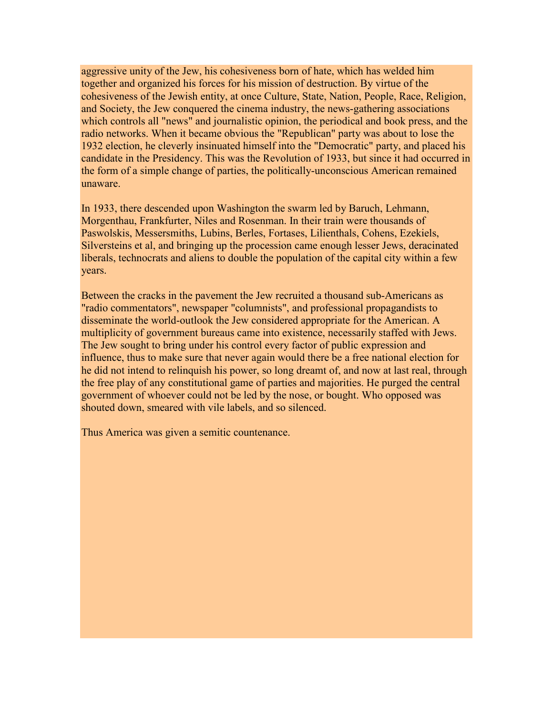aggressive unity of the Jew, his cohesiveness born of hate, which has welded him together and organized his forces for his mission of destruction. By virtue of the cohesiveness of the Jewish entity, at once Culture, State, Nation, People, Race, Religion, and Society, the Jew conquered the cinema industry, the news-gathering associations which controls all "news" and journalistic opinion, the periodical and book press, and the radio networks. When it became obvious the "Republican" party was about to lose the 1932 election, he cleverly insinuated himself into the "Democratic" party, and placed his candidate in the Presidency. This was the Revolution of 1933, but since it had occurred in the form of a simple change of parties, the politically-unconscious American remained unaware.

In 1933, there descended upon Washington the swarm led by Baruch, Lehmann, Morgenthau, Frankfurter, Niles and Rosenman. In their train were thousands of Paswolskis, Messersmiths, Lubins, Berles, Fortases, Lilienthals, Cohens, Ezekiels, Silversteins et al, and bringing up the procession came enough lesser Jews, deracinated liberals, technocrats and aliens to double the population of the capital city within a few years.

Between the cracks in the pavement the Jew recruited a thousand sub-Americans as "radio commentators", newspaper "columnists", and professional propagandists to disseminate the world-outlook the Jew considered appropriate for the American. A multiplicity of government bureaus came into existence, necessarily staffed with Jews. The Jew sought to bring under his control every factor of public expression and influence, thus to make sure that never again would there be a free national election for he did not intend to relinquish his power, so long dreamt of, and now at last real, through the free play of any constitutional game of parties and majorities. He purged the central government of whoever could not be led by the nose, or bought. Who opposed was shouted down, smeared with vile labels, and so silenced.

Thus America was given a semitic countenance.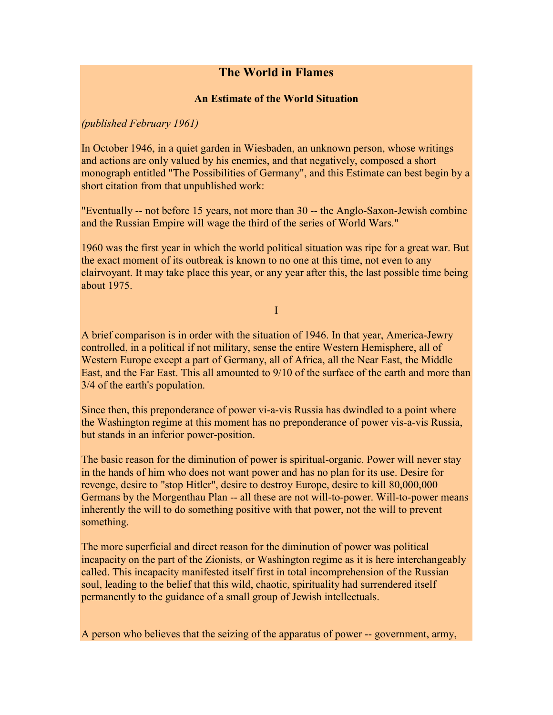## **The World in Flames**

#### **An Estimate of the World Situation**

<span id="page-46-0"></span>*(published February 1961)*

In October 1946, in a quiet garden in Wiesbaden, an unknown person, whose writings and actions are only valued by his enemies, and that negatively, composed a short monograph entitled "The Possibilities of Germany", and this Estimate can best begin by a short citation from that unpublished work:

"Eventually -- not before 15 years, not more than 30 -- the Anglo-Saxon-Jewish combine and the Russian Empire will wage the third of the series of World Wars."

1960 was the first year in which the world political situation was ripe for a great war. But the exact moment of its outbreak is known to no one at this time, not even to any clairvoyant. It may take place this year, or any year after this, the last possible time being about 1975.

I

A brief comparison is in order with the situation of 1946. In that year, America-Jewry controlled, in a political if not military, sense the entire Western Hemisphere, all of Western Europe except a part of Germany, all of Africa, all the Near East, the Middle East, and the Far East. This all amounted to 9/10 of the surface of the earth and more than 3/4 of the earth's population.

Since then, this preponderance of power vi-a-vis Russia has dwindled to a point where the Washington regime at this moment has no preponderance of power vis-a-vis Russia, but stands in an inferior power-position.

The basic reason for the diminution of power is spiritual-organic. Power will never stay in the hands of him who does not want power and has no plan for its use. Desire for revenge, desire to "stop Hitler", desire to destroy Europe, desire to kill 80,000,000 Germans by the Morgenthau Plan -- all these are not will-to-power. Will-to-power means inherently the will to do something positive with that power, not the will to prevent something.

The more superficial and direct reason for the diminution of power was political incapacity on the part of the Zionists, or Washington regime as it is here interchangeably called. This incapacity manifested itself first in total incomprehension of the Russian soul, leading to the belief that this wild, chaotic, spirituality had surrendered itself permanently to the guidance of a small group of Jewish intellectuals.

A person who believes that the seizing of the apparatus of power -- government, army,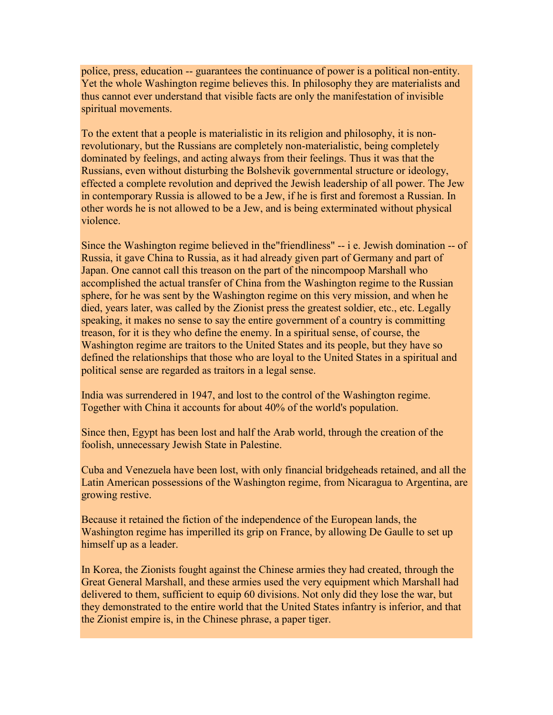police, press, education -- guarantees the continuance of power is a political non-entity. Yet the whole Washington regime believes this. In philosophy they are materialists and thus cannot ever understand that visible facts are only the manifestation of invisible spiritual movements.

To the extent that a people is materialistic in its religion and philosophy, it is nonrevolutionary, but the Russians are completely non-materialistic, being completely dominated by feelings, and acting always from their feelings. Thus it was that the Russians, even without disturbing the Bolshevik governmental structure or ideology, effected a complete revolution and deprived the Jewish leadership of all power. The Jew in contemporary Russia is allowed to be a Jew, if he is first and foremost a Russian. In other words he is not allowed to be a Jew, and is being exterminated without physical violence.

Since the Washington regime believed in the"friendliness" -- i e. Jewish domination -- of Russia, it gave China to Russia, as it had already given part of Germany and part of Japan. One cannot call this treason on the part of the nincompoop Marshall who accomplished the actual transfer of China from the Washington regime to the Russian sphere, for he was sent by the Washington regime on this very mission, and when he died, years later, was called by the Zionist press the greatest soldier, etc., etc. Legally speaking, it makes no sense to say the entire government of a country is committing treason, for it is they who define the enemy. In a spiritual sense, of course, the Washington regime are traitors to the United States and its people, but they have so defined the relationships that those who are loyal to the United States in a spiritual and political sense are regarded as traitors in a legal sense.

India was surrendered in 1947, and lost to the control of the Washington regime. Together with China it accounts for about 40% of the world's population.

Since then, Egypt has been lost and half the Arab world, through the creation of the foolish, unnecessary Jewish State in Palestine.

Cuba and Venezuela have been lost, with only financial bridgeheads retained, and all the Latin American possessions of the Washington regime, from Nicaragua to Argentina, are growing restive.

Because it retained the fiction of the independence of the European lands, the Washington regime has imperilled its grip on France, by allowing De Gaulle to set up himself up as a leader.

In Korea, the Zionists fought against the Chinese armies they had created, through the Great General Marshall, and these armies used the very equipment which Marshall had delivered to them, sufficient to equip 60 divisions. Not only did they lose the war, but they demonstrated to the entire world that the United States infantry is inferior, and that the Zionist empire is, in the Chinese phrase, a paper tiger.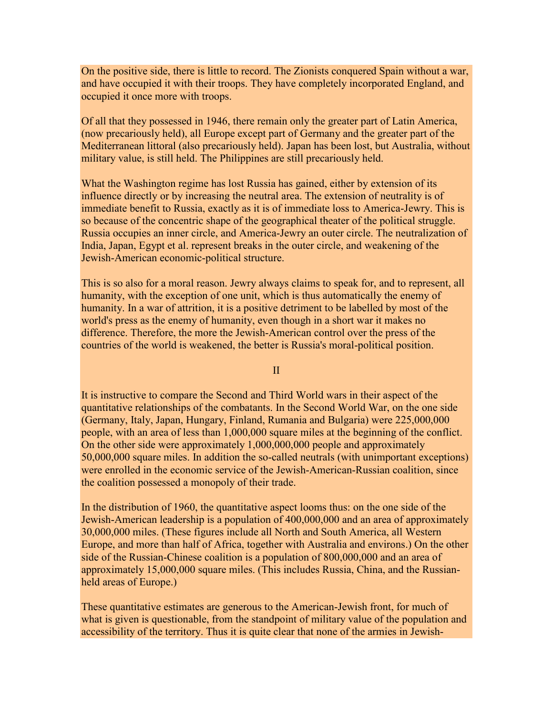On the positive side, there is little to record. The Zionists conquered Spain without a war, and have occupied it with their troops. They have completely incorporated England, and occupied it once more with troops.

Of all that they possessed in 1946, there remain only the greater part of Latin America, (now precariously held), all Europe except part of Germany and the greater part of the Mediterranean littoral (also precariously held). Japan has been lost, but Australia, without military value, is still held. The Philippines are still precariously held.

What the Washington regime has lost Russia has gained, either by extension of its influence directly or by increasing the neutral area. The extension of neutrality is of immediate benefit to Russia, exactly as it is of immediate loss to America-Jewry. This is so because of the concentric shape of the geographical theater of the political struggle. Russia occupies an inner circle, and America-Jewry an outer circle. The neutralization of India, Japan, Egypt et al. represent breaks in the outer circle, and weakening of the Jewish-American economic-political structure.

This is so also for a moral reason. Jewry always claims to speak for, and to represent, all humanity, with the exception of one unit, which is thus automatically the enemy of humanity. In a war of attrition, it is a positive detriment to be labelled by most of the world's press as the enemy of humanity, even though in a short war it makes no difference. Therefore, the more the Jewish-American control over the press of the countries of the world is weakened, the better is Russia's moral-political position.

II

It is instructive to compare the Second and Third World wars in their aspect of the quantitative relationships of the combatants. In the Second World War, on the one side (Germany, Italy, Japan, Hungary, Finland, Rumania and Bulgaria) were 225,000,000 people, with an area of less than 1,000,000 square miles at the beginning of the conflict. On the other side were approximately 1,000,000,000 people and approximately 50,000,000 square miles. In addition the so-called neutrals (with unimportant exceptions) were enrolled in the economic service of the Jewish-American-Russian coalition, since the coalition possessed a monopoly of their trade.

In the distribution of 1960, the quantitative aspect looms thus: on the one side of the Jewish-American leadership is a population of 400,000,000 and an area of approximately 30,000,000 miles. (These figures include all North and South America, all Western Europe, and more than half of Africa, together with Australia and environs.) On the other side of the Russian-Chinese coalition is a population of 800,000,000 and an area of approximately 15,000,000 square miles. (This includes Russia, China, and the Russianheld areas of Europe.)

These quantitative estimates are generous to the American-Jewish front, for much of what is given is questionable, from the standpoint of military value of the population and accessibility of the territory. Thus it is quite clear that none of the armies in Jewish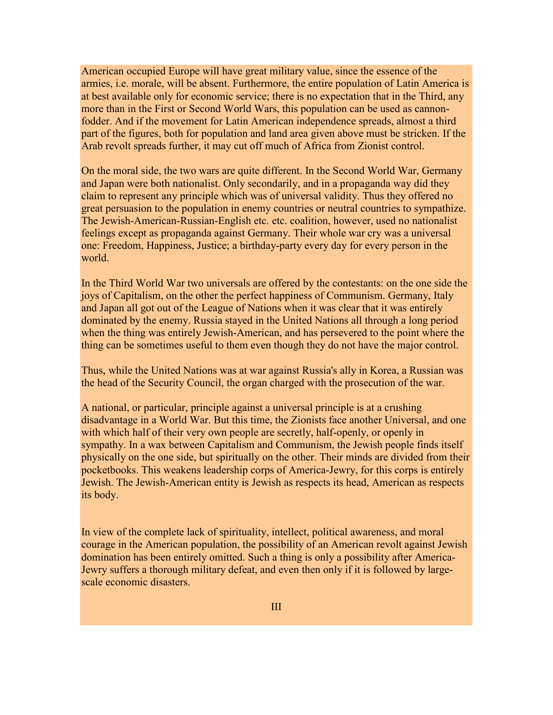American occupied Europe will have great military value, since the essence of the armies, i.e. morale, will be absent. Furthermore, the entire population of Latin America is at best available only for economic service; there is no expectation that in the Third, any more than in the First or Second World Wars, this population can be used as cannonfodder. And if the movement for Latin American independence spreads, almost a third part of the figures, both for population and land area given above must be stricken. If the Arab revolt spreads further, it may cut off much of Africa from Zionist control.

On the moral side, the two wars are quite different. In the Second World War, Germany and Japan were both nationalist. Only secondarily, and in a propaganda way did they claim to represent any principle which was of universal validity. Thus they offered no great persuasion to the population in enemy countries or neutral countries to sympathize. The Jewish-American-Russian-English etc. etc. coalition, however, used no nationalist feelings except as propaganda against Germany. Their whole war cry was a universal one: Freedom, Happiness, Justice; a birthday-party every day for every person in the world.

In the Third World War two universals are offered by the contestants: on the one side the joys of Capitalism, on the other the perfect happiness of Communism. Germany, Italy and Japan all got out of the League of Nations when it was clear that it was entirely dominated by the enemy. Russia stayed in the United Nations all through a long period when the thing was entirely Jewish-American, and has persevered to the point where the thing can be sometimes useful to them even though they do not have the major control.

Thus, while the United Nations was at war against Russia's ally in Korea, a Russian was the head of the Security Council, the organ charged with the prosecution of the war.

A national, or particular, principle against a universal principle is at a crushing disadvantage in a World War. But this time, the Zionists face another Universal, and one with which half of their very own people are secretly, half-openly, or openly in sympathy. In a wax between Capitalism and Communism, the Jewish people finds itself physically on the one side, but spiritually on the other. Their minds are divided from their pocketbooks. This weakens leadership corps of America-Jewry, for this corps is entirely Jewish. The Jewish-American entity is Jewish as respects its head, American as respects its body.

In view of the complete lack of spirituality, intellect, political awareness, and moral courage in the American population, the possibility of an American revolt against Jewish domination has been entirely omitted. Such a thing is only a possibility after America-Jewry suffers a thorough military defeat, and even then only if it is followed by largescale economic disasters.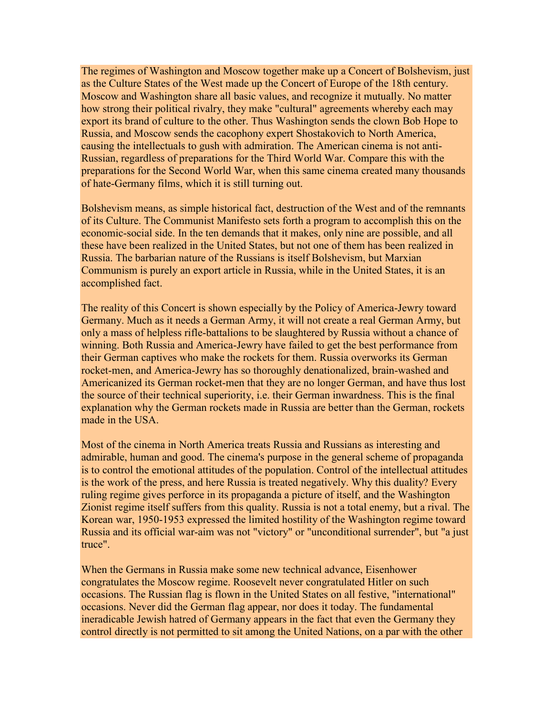The regimes of Washington and Moscow together make up a Concert of Bolshevism, just as the Culture States of the West made up the Concert of Europe of the 18th century. Moscow and Washington share all basic values, and recognize it mutually. No matter how strong their political rivalry, they make "cultural" agreements whereby each may export its brand of culture to the other. Thus Washington sends the clown Bob Hope to Russia, and Moscow sends the cacophony expert Shostakovich to North America, causing the intellectuals to gush with admiration. The American cinema is not anti-Russian, regardless of preparations for the Third World War. Compare this with the preparations for the Second World War, when this same cinema created many thousands of hate-Germany films, which it is still turning out.

Bolshevism means, as simple historical fact, destruction of the West and of the remnants of its Culture. The Communist Manifesto sets forth a program to accomplish this on the economic-social side. In the ten demands that it makes, only nine are possible, and all these have been realized in the United States, but not one of them has been realized in Russia. The barbarian nature of the Russians is itself Bolshevism, but Marxian Communism is purely an export article in Russia, while in the United States, it is an accomplished fact.

The reality of this Concert is shown especially by the Policy of America-Jewry toward Germany. Much as it needs a German Army, it will not create a real German Army, but only a mass of helpless rifle-battalions to be slaughtered by Russia without a chance of winning. Both Russia and America-Jewry have failed to get the best performance from their German captives who make the rockets for them. Russia overworks its German rocket-men, and America-Jewry has so thoroughly denationalized, brain-washed and Americanized its German rocket-men that they are no longer German, and have thus lost the source of their technical superiority, i.e. their German inwardness. This is the final explanation why the German rockets made in Russia are better than the German, rockets made in the USA.

Most of the cinema in North America treats Russia and Russians as interesting and admirable, human and good. The cinema's purpose in the general scheme of propaganda is to control the emotional attitudes of the population. Control of the intellectual attitudes is the work of the press, and here Russia is treated negatively. Why this duality? Every ruling regime gives perforce in its propaganda a picture of itself, and the Washington Zionist regime itself suffers from this quality. Russia is not a total enemy, but a rival. The Korean war, 1950-1953 expressed the limited hostility of the Washington regime toward Russia and its official war-aim was not "victory" or "unconditional surrender", but "a just truce".

When the Germans in Russia make some new technical advance, Eisenhower congratulates the Moscow regime. Roosevelt never congratulated Hitler on such occasions. The Russian flag is flown in the United States on all festive, "international" occasions. Never did the German flag appear, nor does it today. The fundamental ineradicable Jewish hatred of Germany appears in the fact that even the Germany they control directly is not permitted to sit among the United Nations, on a par with the other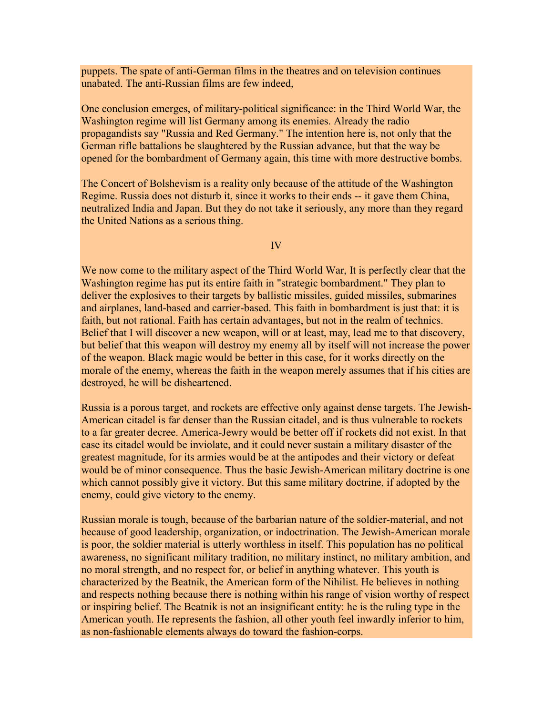puppets. The spate of anti-German films in the theatres and on television continues unabated. The anti-Russian films are few indeed,

One conclusion emerges, of military-political significance: in the Third World War, the Washington regime will list Germany among its enemies. Already the radio propagandists say "Russia and Red Germany." The intention here is, not only that the German rifle battalions be slaughtered by the Russian advance, but that the way be opened for the bombardment of Germany again, this time with more destructive bombs.

The Concert of Bolshevism is a reality only because of the attitude of the Washington Regime. Russia does not disturb it, since it works to their ends -- it gave them China, neutralized India and Japan. But they do not take it seriously, any more than they regard the United Nations as a serious thing.

IV

We now come to the military aspect of the Third World War, It is perfectly clear that the Washington regime has put its entire faith in "strategic bombardment." They plan to deliver the explosives to their targets by ballistic missiles, guided missiles, submarines and airplanes, land-based and carrier-based. This faith in bombardment is just that: it is faith, but not rational. Faith has certain advantages, but not in the realm of technics. Belief that I will discover a new weapon, will or at least, may, lead me to that discovery, but belief that this weapon will destroy my enemy all by itself will not increase the power of the weapon. Black magic would be better in this case, for it works directly on the morale of the enemy, whereas the faith in the weapon merely assumes that if his cities are destroyed, he will be disheartened.

Russia is a porous target, and rockets are effective only against dense targets. The Jewish-American citadel is far denser than the Russian citadel, and is thus vulnerable to rockets to a far greater decree. America-Jewry would be better off if rockets did not exist. In that case its citadel would be inviolate, and it could never sustain a military disaster of the greatest magnitude, for its armies would be at the antipodes and their victory or defeat would be of minor consequence. Thus the basic Jewish-American military doctrine is one which cannot possibly give it victory. But this same military doctrine, if adopted by the enemy, could give victory to the enemy.

Russian morale is tough, because of the barbarian nature of the soldier-material, and not because of good leadership, organization, or indoctrination. The Jewish-American morale is poor, the soldier material is utterly worthless in itself. This population has no political awareness, no significant military tradition, no military instinct, no military ambition, and no moral strength, and no respect for, or belief in anything whatever. This youth is characterized by the Beatnik, the American form of the Nihilist. He believes in nothing and respects nothing because there is nothing within his range of vision worthy of respect or inspiring belief. The Beatnik is not an insignificant entity: he is the ruling type in the American youth. He represents the fashion, all other youth feel inwardly inferior to him, as non-fashionable elements always do toward the fashion-corps.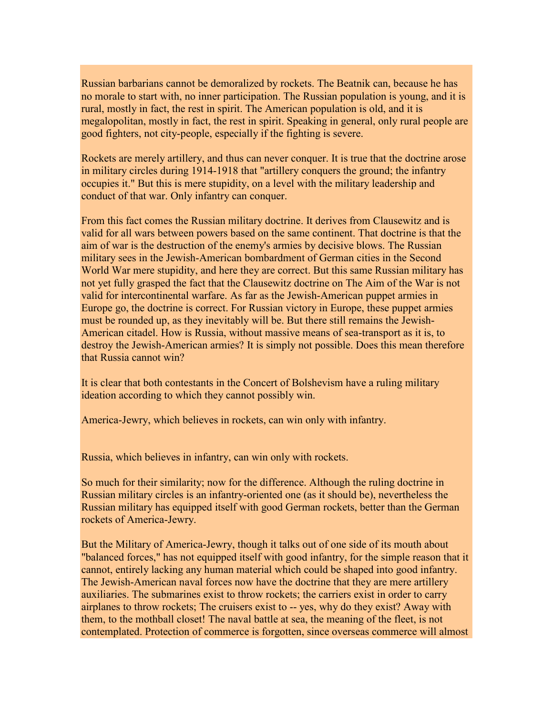Russian barbarians cannot be demoralized by rockets. The Beatnik can, because he has no morale to start with, no inner participation. The Russian population is young, and it is rural, mostly in fact, the rest in spirit. The American population is old, and it is megalopolitan, mostly in fact, the rest in spirit. Speaking in general, only rural people are good fighters, not city-people, especially if the fighting is severe.

Rockets are merely artillery, and thus can never conquer. It is true that the doctrine arose in military circles during 1914-1918 that "artillery conquers the ground; the infantry occupies it." But this is mere stupidity, on a level with the military leadership and conduct of that war. Only infantry can conquer.

From this fact comes the Russian military doctrine. It derives from Clausewitz and is valid for all wars between powers based on the same continent. That doctrine is that the aim of war is the destruction of the enemy's armies by decisive blows. The Russian military sees in the Jewish-American bombardment of German cities in the Second World War mere stupidity, and here they are correct. But this same Russian military has not yet fully grasped the fact that the Clausewitz doctrine on The Aim of the War is not valid for intercontinental warfare. As far as the Jewish-American puppet armies in Europe go, the doctrine is correct. For Russian victory in Europe, these puppet armies must be rounded up, as they inevitably will be. But there still remains the Jewish-American citadel. How is Russia, without massive means of sea-transport as it is, to destroy the Jewish-American armies? It is simply not possible. Does this mean therefore that Russia cannot win?

It is clear that both contestants in the Concert of Bolshevism have a ruling military ideation according to which they cannot possibly win.

America-Jewry, which believes in rockets, can win only with infantry.

Russia, which believes in infantry, can win only with rockets.

So much for their similarity; now for the difference. Although the ruling doctrine in Russian military circles is an infantry-oriented one (as it should be), nevertheless the Russian military has equipped itself with good German rockets, better than the German rockets of America-Jewry.

But the Military of America-Jewry, though it talks out of one side of its mouth about "balanced forces," has not equipped itself with good infantry, for the simple reason that it cannot, entirely lacking any human material which could be shaped into good infantry. The Jewish-American naval forces now have the doctrine that they are mere artillery auxiliaries. The submarines exist to throw rockets; the carriers exist in order to carry airplanes to throw rockets; The cruisers exist to -- yes, why do they exist? Away with them, to the mothball closet! The naval battle at sea, the meaning of the fleet, is not contemplated. Protection of commerce is forgotten, since overseas commerce will almost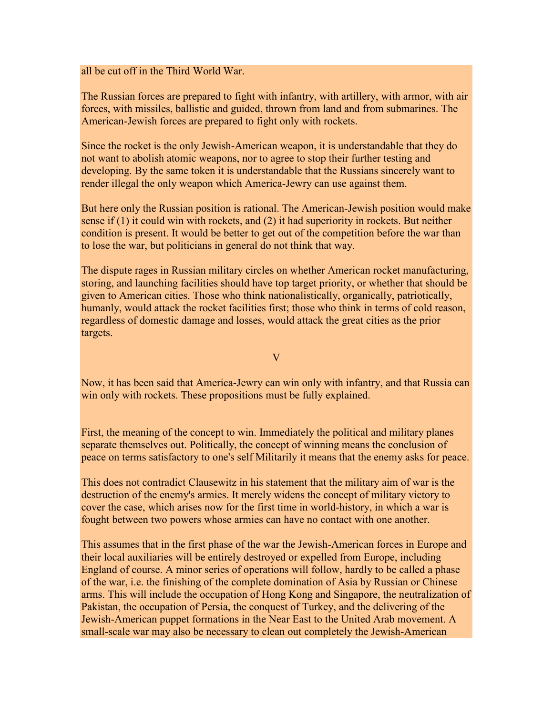all be cut off in the Third World War.

The Russian forces are prepared to fight with infantry, with artillery, with armor, with air forces, with missiles, ballistic and guided, thrown from land and from submarines. The American-Jewish forces are prepared to fight only with rockets.

Since the rocket is the only Jewish-American weapon, it is understandable that they do not want to abolish atomic weapons, nor to agree to stop their further testing and developing. By the same token it is understandable that the Russians sincerely want to render illegal the only weapon which America-Jewry can use against them.

But here only the Russian position is rational. The American-Jewish position would make sense if (1) it could win with rockets, and (2) it had superiority in rockets. But neither condition is present. It would be better to get out of the competition before the war than to lose the war, but politicians in general do not think that way.

The dispute rages in Russian military circles on whether American rocket manufacturing, storing, and launching facilities should have top target priority, or whether that should be given to American cities. Those who think nationalistically, organically, patriotically, humanly, would attack the rocket facilities first; those who think in terms of cold reason, regardless of domestic damage and losses, would attack the great cities as the prior targets.

V

Now, it has been said that America-Jewry can win only with infantry, and that Russia can win only with rockets. These propositions must be fully explained.

First, the meaning of the concept to win. Immediately the political and military planes separate themselves out. Politically, the concept of winning means the conclusion of peace on terms satisfactory to one's self Militarily it means that the enemy asks for peace.

This does not contradict Clausewitz in his statement that the military aim of war is the destruction of the enemy's armies. It merely widens the concept of military victory to cover the case, which arises now for the first time in world-history, in which a war is fought between two powers whose armies can have no contact with one another.

This assumes that in the first phase of the war the Jewish-American forces in Europe and their local auxiliaries will be entirely destroyed or expelled from Europe, including England of course. A minor series of operations will follow, hardly to be called a phase of the war, i.e. the finishing of the complete domination of Asia by Russian or Chinese arms. This will include the occupation of Hong Kong and Singapore, the neutralization of Pakistan, the occupation of Persia, the conquest of Turkey, and the delivering of the Jewish-American puppet formations in the Near East to the United Arab movement. A small-scale war may also be necessary to clean out completely the Jewish-American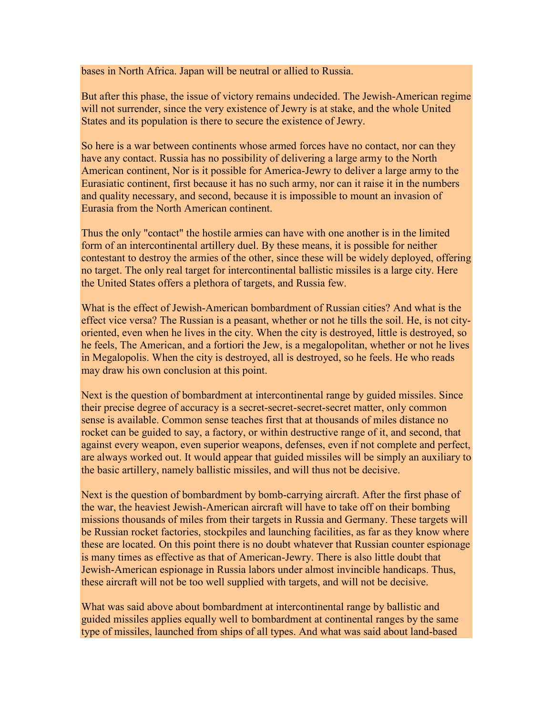bases in North Africa. Japan will be neutral or allied to Russia.

But after this phase, the issue of victory remains undecided. The Jewish-American regime will not surrender, since the very existence of Jewry is at stake, and the whole United States and its population is there to secure the existence of Jewry.

So here is a war between continents whose armed forces have no contact, nor can they have any contact. Russia has no possibility of delivering a large army to the North American continent, Nor is it possible for America-Jewry to deliver a large army to the Eurasiatic continent, first because it has no such army, nor can it raise it in the numbers and quality necessary, and second, because it is impossible to mount an invasion of Eurasia from the North American continent.

Thus the only "contact" the hostile armies can have with one another is in the limited form of an intercontinental artillery duel. By these means, it is possible for neither contestant to destroy the armies of the other, since these will be widely deployed, offering no target. The only real target for intercontinental ballistic missiles is a large city. Here the United States offers a plethora of targets, and Russia few.

What is the effect of Jewish-American bombardment of Russian cities? And what is the effect vice versa? The Russian is a peasant, whether or not he tills the soil. He, is not cityoriented, even when he lives in the city. When the city is destroyed, little is destroyed, so he feels, The American, and a fortiori the Jew, is a megalopolitan, whether or not he lives in Megalopolis. When the city is destroyed, all is destroyed, so he feels. He who reads may draw his own conclusion at this point.

Next is the question of bombardment at intercontinental range by guided missiles. Since their precise degree of accuracy is a secret-secret-secret-secret matter, only common sense is available. Common sense teaches first that at thousands of miles distance no rocket can be guided to say, a factory, or within destructive range of it, and second, that against every weapon, even superior weapons, defenses, even if not complete and perfect, are always worked out. It would appear that guided missiles will be simply an auxiliary to the basic artillery, namely ballistic missiles, and will thus not be decisive.

Next is the question of bombardment by bomb-carrying aircraft. After the first phase of the war, the heaviest Jewish-American aircraft will have to take off on their bombing missions thousands of miles from their targets in Russia and Germany. These targets will be Russian rocket factories, stockpiles and launching facilities, as far as they know where these are located. On this point there is no doubt whatever that Russian counter espionage is many times as effective as that of American-Jewry. There is also little doubt that Jewish-American espionage in Russia labors under almost invincible handicaps. Thus, these aircraft will not be too well supplied with targets, and will not be decisive.

What was said above about bombardment at intercontinental range by ballistic and guided missiles applies equally well to bombardment at continental ranges by the same type of missiles, launched from ships of all types. And what was said about land-based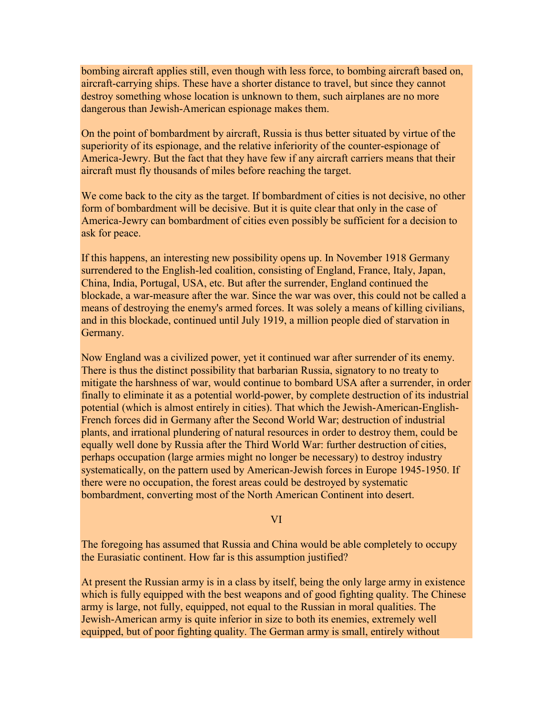bombing aircraft applies still, even though with less force, to bombing aircraft based on, aircraft-carrying ships. These have a shorter distance to travel, but since they cannot destroy something whose location is unknown to them, such airplanes are no more dangerous than Jewish-American espionage makes them.

On the point of bombardment by aircraft, Russia is thus better situated by virtue of the superiority of its espionage, and the relative inferiority of the counter-espionage of America-Jewry. But the fact that they have few if any aircraft carriers means that their aircraft must fly thousands of miles before reaching the target.

We come back to the city as the target. If bombardment of cities is not decisive, no other form of bombardment will be decisive. But it is quite clear that only in the case of America-Jewry can bombardment of cities even possibly be sufficient for a decision to ask for peace.

If this happens, an interesting new possibility opens up. In November 1918 Germany surrendered to the English-led coalition, consisting of England, France, Italy, Japan, China, India, Portugal, USA, etc. But after the surrender, England continued the blockade, a war-measure after the war. Since the war was over, this could not be called a means of destroying the enemy's armed forces. It was solely a means of killing civilians, and in this blockade, continued until July 1919, a million people died of starvation in Germany.

Now England was a civilized power, yet it continued war after surrender of its enemy. There is thus the distinct possibility that barbarian Russia, signatory to no treaty to mitigate the harshness of war, would continue to bombard USA after a surrender, in order finally to eliminate it as a potential world-power, by complete destruction of its industrial potential (which is almost entirely in cities). That which the Jewish-American-English-French forces did in Germany after the Second World War; destruction of industrial plants, and irrational plundering of natural resources in order to destroy them, could be equally well done by Russia after the Third World War: further destruction of cities, perhaps occupation (large armies might no longer be necessary) to destroy industry systematically, on the pattern used by American-Jewish forces in Europe 1945-1950. If there were no occupation, the forest areas could be destroyed by systematic bombardment, converting most of the North American Continent into desert.

#### VI

The foregoing has assumed that Russia and China would be able completely to occupy the Eurasiatic continent. How far is this assumption justified?

At present the Russian army is in a class by itself, being the only large army in existence which is fully equipped with the best weapons and of good fighting quality. The Chinese army is large, not fully, equipped, not equal to the Russian in moral qualities. The Jewish-American army is quite inferior in size to both its enemies, extremely well equipped, but of poor fighting quality. The German army is small, entirely without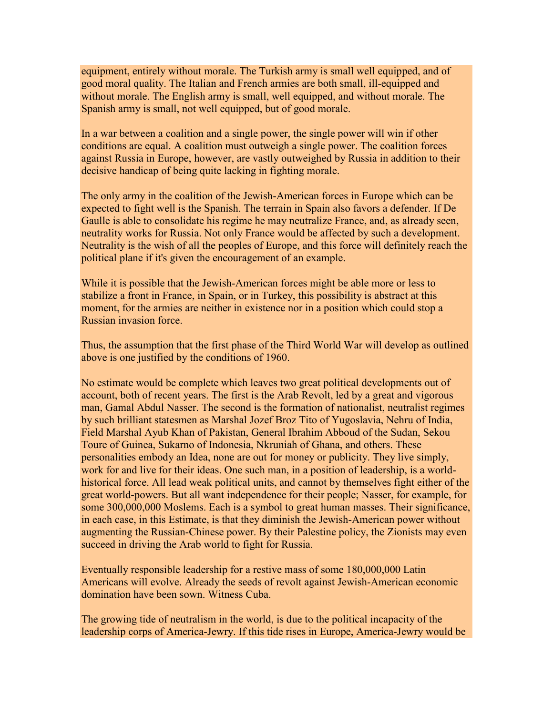equipment, entirely without morale. The Turkish army is small well equipped, and of good moral quality. The Italian and French armies are both small, ill-equipped and without morale. The English army is small, well equipped, and without morale. The Spanish army is small, not well equipped, but of good morale.

In a war between a coalition and a single power, the single power will win if other conditions are equal. A coalition must outweigh a single power. The coalition forces against Russia in Europe, however, are vastly outweighed by Russia in addition to their decisive handicap of being quite lacking in fighting morale.

The only army in the coalition of the Jewish-American forces in Europe which can be expected to fight well is the Spanish. The terrain in Spain also favors a defender. If De Gaulle is able to consolidate his regime he may neutralize France, and, as already seen, neutrality works for Russia. Not only France would be affected by such a development. Neutrality is the wish of all the peoples of Europe, and this force will definitely reach the political plane if it's given the encouragement of an example.

While it is possible that the Jewish-American forces might be able more or less to stabilize a front in France, in Spain, or in Turkey, this possibility is abstract at this moment, for the armies are neither in existence nor in a position which could stop a Russian invasion force.

Thus, the assumption that the first phase of the Third World War will develop as outlined above is one justified by the conditions of 1960.

No estimate would be complete which leaves two great political developments out of account, both of recent years. The first is the Arab Revolt, led by a great and vigorous man, Gamal Abdul Nasser. The second is the formation of nationalist, neutralist regimes by such brilliant statesmen as Marshal Jozef Broz Tito of Yugoslavia, Nehru of India, Field Marshal Ayub Khan of Pakistan, General Ibrahim Abboud of the Sudan, Sekou Toure of Guinea, Sukarno of Indonesia, Nkruniah of Ghana, and others. These personalities embody an Idea, none are out for money or publicity. They live simply, work for and live for their ideas. One such man, in a position of leadership, is a worldhistorical force. All lead weak political units, and cannot by themselves fight either of the great world-powers. But all want independence for their people; Nasser, for example, for some 300,000,000 Moslems. Each is a symbol to great human masses. Their significance, in each case, in this Estimate, is that they diminish the Jewish-American power without augmenting the Russian-Chinese power. By their Palestine policy, the Zionists may even succeed in driving the Arab world to fight for Russia.

Eventually responsible leadership for a restive mass of some 180,000,000 Latin Americans will evolve. Already the seeds of revolt against Jewish-American economic domination have been sown. Witness Cuba.

The growing tide of neutralism in the world, is due to the political incapacity of the leadership corps of America-Jewry. If this tide rises in Europe, America-Jewry would be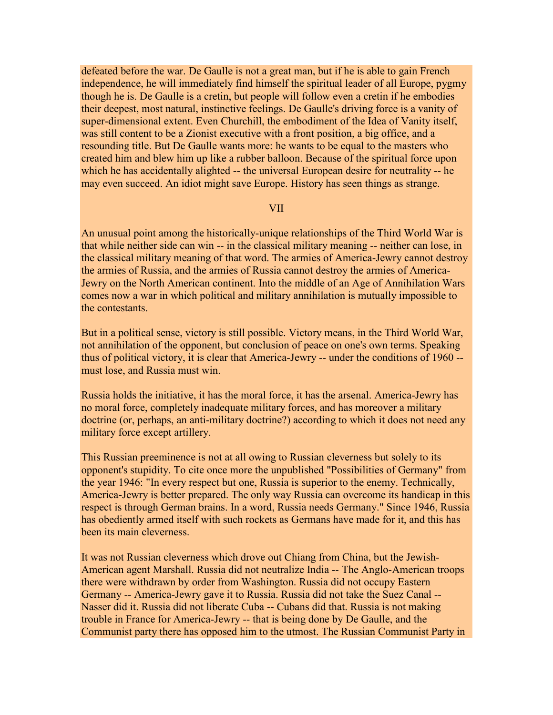defeated before the war. De Gaulle is not a great man, but if he is able to gain French independence, he will immediately find himself the spiritual leader of all Europe, pygmy though he is. De Gaulle is a cretin, but people will follow even a cretin if he embodies their deepest, most natural, instinctive feelings. De Gaulle's driving force is a vanity of super-dimensional extent. Even Churchill, the embodiment of the Idea of Vanity itself, was still content to be a Zionist executive with a front position, a big office, and a resounding title. But De Gaulle wants more: he wants to be equal to the masters who created him and blew him up like a rubber balloon. Because of the spiritual force upon which he has accidentally alighted -- the universal European desire for neutrality -- he may even succeed. An idiot might save Europe. History has seen things as strange.

#### VII

An unusual point among the historically-unique relationships of the Third World War is that while neither side can win -- in the classical military meaning -- neither can lose, in the classical military meaning of that word. The armies of America-Jewry cannot destroy the armies of Russia, and the armies of Russia cannot destroy the armies of America-Jewry on the North American continent. Into the middle of an Age of Annihilation Wars comes now a war in which political and military annihilation is mutually impossible to the contestants.

But in a political sense, victory is still possible. Victory means, in the Third World War, not annihilation of the opponent, but conclusion of peace on one's own terms. Speaking thus of political victory, it is clear that America-Jewry -- under the conditions of 1960 - must lose, and Russia must win.

Russia holds the initiative, it has the moral force, it has the arsenal. America-Jewry has no moral force, completely inadequate military forces, and has moreover a military doctrine (or, perhaps, an anti-military doctrine?) according to which it does not need any military force except artillery.

This Russian preeminence is not at all owing to Russian cleverness but solely to its opponent's stupidity. To cite once more the unpublished "Possibilities of Germany" from the year 1946: "In every respect but one, Russia is superior to the enemy. Technically, America-Jewry is better prepared. The only way Russia can overcome its handicap in this respect is through German brains. In a word, Russia needs Germany." Since 1946, Russia has obediently armed itself with such rockets as Germans have made for it, and this has been its main cleverness.

It was not Russian cleverness which drove out Chiang from China, but the Jewish-American agent Marshall. Russia did not neutralize India -- The Anglo-American troops there were withdrawn by order from Washington. Russia did not occupy Eastern Germany -- America-Jewry gave it to Russia. Russia did not take the Suez Canal -- Nasser did it. Russia did not liberate Cuba -- Cubans did that. Russia is not making trouble in France for America-Jewry -- that is being done by De Gaulle, and the Communist party there has opposed him to the utmost. The Russian Communist Party in